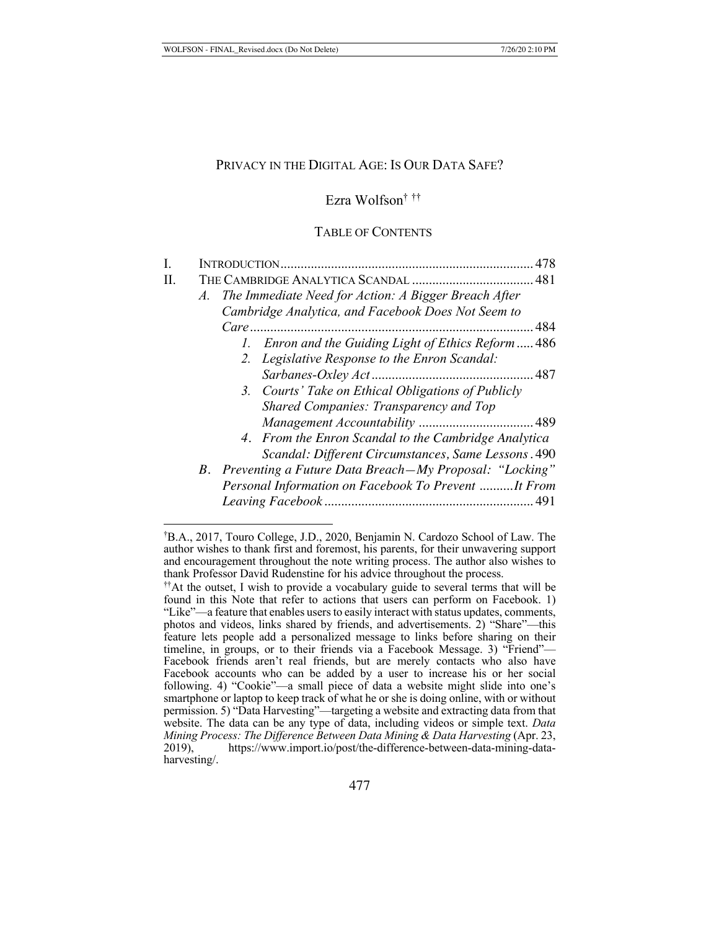### PRIVACY IN THE DIGITAL AGE: IS OUR DATA SAFE?

Ezra Wolfson† ††

TABLE OF CONTENTS

| L  | INTRODUCTION.                                              | 478 |
|----|------------------------------------------------------------|-----|
| H. |                                                            |     |
|    | The Immediate Need for Action: A Bigger Breach After<br>A. |     |
|    | Cambridge Analytica, and Facebook Does Not Seem to         |     |
|    |                                                            |     |
|    | 1. Enron and the Guiding Light of Ethics Reform  486       |     |
|    | 2. Legislative Response to the Enron Scandal:              |     |
|    |                                                            |     |
|    | 3. Courts' Take on Ethical Obligations of Publicly         |     |
|    | Shared Companies: Transparency and Top                     |     |
|    |                                                            |     |
|    | 4. From the Enron Scandal to the Cambridge Analytica       |     |
|    | Scandal: Different Circumstances, Same Lessons. 490        |     |
|    | B. Preventing a Future Data Breach-My Proposal: "Locking"  |     |
|    | Personal Information on Facebook To Prevent It From        |     |
|    |                                                            |     |

<sup>†</sup> B.A., 2017, Touro College, J.D., 2020, Benjamin N. Cardozo School of Law. The author wishes to thank first and foremost, his parents, for their unwavering support and encouragement throughout the note writing process. The author also wishes to thank Professor David Rudenstine for his advice throughout the process.

<sup>††</sup>At the outset, I wish to provide a vocabulary guide to several terms that will be found in this Note that refer to actions that users can perform on Facebook. 1) "Like"—a feature that enables users to easily interact with status updates, comments, photos and videos, links shared by friends, and advertisements. 2) "Share"—this feature lets people add a personalized message to links before sharing on their timeline, in groups, or to their friends via a Facebook Message. 3) "Friend"— Facebook friends aren't real friends, but are merely contacts who also have Facebook accounts who can be added by a user to increase his or her social following. 4) "Cookie"—a small piece of data a website might slide into one's smartphone or laptop to keep track of what he or she is doing online, with or without permission. 5) "Data Harvesting"—targeting a website and extracting data from that website. The data can be any type of data, including videos or simple text. *Data Mining Process: The Difference Between Data Mining & Data Harvesting* (Apr. 23, 2019), https://www.import.jo/post/the-difference-between-data-mining-datahttps://www.import.io/post/the-difference-between-data-mining-dataharvesting/.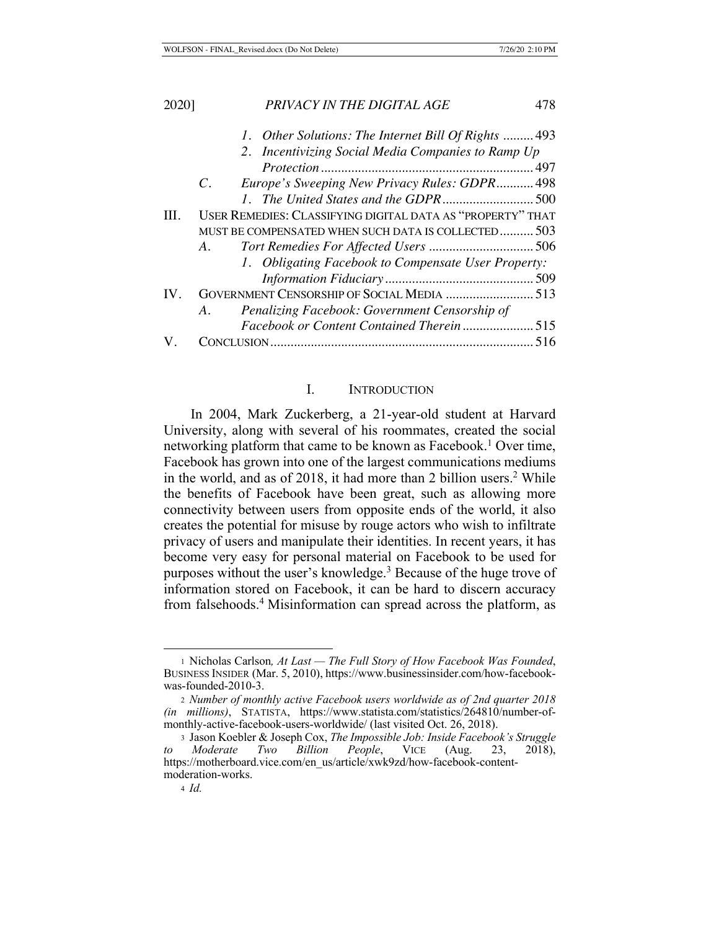| 2020] | PRIVACY IN THE DIGITAL AGE                                 | 478 |
|-------|------------------------------------------------------------|-----|
|       | 1. Other Solutions: The Internet Bill Of Rights 493        |     |
|       | 2. Incentivizing Social Media Companies to Ramp Up         |     |
|       |                                                            |     |
|       | Europe's Sweeping New Privacy Rules: GDPR 498<br>C.        |     |
|       |                                                            |     |
| III.  | USER REMEDIES: CLASSIFYING DIGITAL DATA AS "PROPERTY" THAT |     |
|       | MUST BE COMPENSATED WHEN SUCH DATA IS COLLECTED503         |     |
|       | A.                                                         |     |
|       | 1. Obligating Facebook to Compensate User Property:        |     |
|       |                                                            |     |
| IV.   | GOVERNMENT CENSORSHIP OF SOCIAL MEDIA  513                 |     |
|       | Penalizing Facebook: Government Censorship of<br>A.        |     |
|       |                                                            |     |
|       |                                                            | 516 |

### I. INTRODUCTION

In 2004, Mark Zuckerberg, a 21-year-old student at Harvard University, along with several of his roommates, created the social networking platform that came to be known as Facebook.<sup>1</sup> Over time, Facebook has grown into one of the largest communications mediums in the world, and as of 2018, it had more than 2 billion users.<sup>2</sup> While the benefits of Facebook have been great, such as allowing more connectivity between users from opposite ends of the world, it also creates the potential for misuse by rouge actors who wish to infiltrate privacy of users and manipulate their identities. In recent years, it has become very easy for personal material on Facebook to be used for purposes without the user's knowledge.<sup>3</sup> Because of the huge trove of information stored on Facebook, it can be hard to discern accuracy from falsehoods.<sup>4</sup> Misinformation can spread across the platform, as

<sup>1</sup> Nicholas Carlson*, At Last — The Full Story of How Facebook Was Founded*, BUSINESS INSIDER (Mar. 5, 2010), https://www.businessinsider.com/how-facebookwas-founded-2010-3.

<sup>2</sup> *Number of monthly active Facebook users worldwide as of 2nd quarter 2018 (in millions)*, STATISTA, https://www.statista.com/statistics/264810/number-ofmonthly-active-facebook-users-worldwide/ (last visited Oct. 26, 2018).

<sup>3</sup> Jason Koebler & Joseph Cox, *The Impossible Job: Inside Facebook's Struggle to Moderate Two Billion People*, VICE (Aug. 23, 2018), https://motherboard.vice.com/en\_us/article/xwk9zd/how-facebook-contentmoderation-works.

<sup>4</sup> *Id.*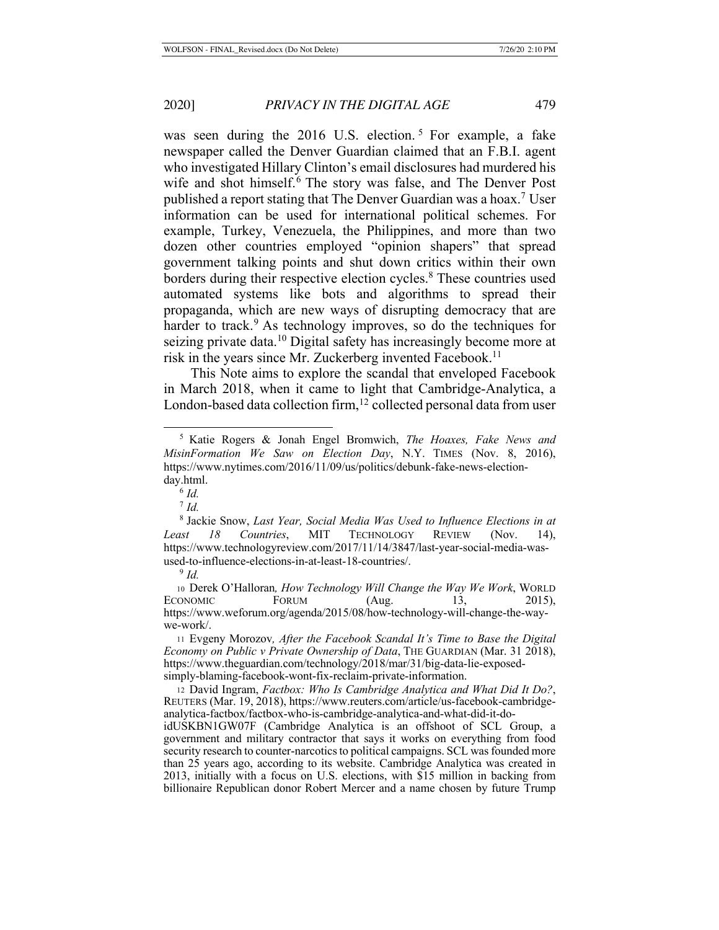was seen during the  $2016$  U.S. election.<sup>5</sup> For example, a fake newspaper called the Denver Guardian claimed that an F.B.I. agent who investigated Hillary Clinton's email disclosures had murdered his wife and shot himself.<sup>6</sup> The story was false, and The Denver Post published a report stating that The Denver Guardian was a hoax.<sup>7</sup> User information can be used for international political schemes. For example, Turkey, Venezuela, the Philippines, and more than two dozen other countries employed "opinion shapers" that spread government talking points and shut down critics within their own borders during their respective election cycles.<sup>8</sup> These countries used automated systems like bots and algorithms to spread their propaganda, which are new ways of disrupting democracy that are harder to track.<sup>9</sup> As technology improves, so do the techniques for seizing private data.<sup>10</sup> Digital safety has increasingly become more at risk in the years since Mr. Zuckerberg invented Facebook.<sup>11</sup>

This Note aims to explore the scandal that enveloped Facebook in March 2018, when it came to light that Cambridge-Analytica, a London-based data collection firm, $12$  collected personal data from user

<sup>5</sup> Katie Rogers & Jonah Engel Bromwich, *The Hoaxes, Fake News and MisinFormation We Saw on Election Day*, N.Y. TIMES (Nov. 8, 2016), https://www.nytimes.com/2016/11/09/us/politics/debunk-fake-news-election-

day.html.<br><sup>6</sup> *Id.*<br><sup>7</sup> *Id.*<br><sup>8</sup> Jackie Snow, *Last Year, Social Media Was Used to Influence Elections in at Least 18 Countries*, MIT TECHNOLOGY REVIEW (Nov. 14), https://www.technologyreview.com/2017/11/14/3847/last-year-social-media-wasused-to-influence-elections-in-at-least-18-countries/. 9 *Id.* 

<sup>10</sup> Derek O'Halloran*, How Technology Will Change the Way We Work*, WORLD ECONOMIC FORUM  $(Aug. 13, 2015)$ , https://www.weforum.org/agenda/2015/08/how-technology-will-change-the-waywe-work/.

<sup>11</sup> Evgeny Morozov*, After the Facebook Scandal It's Time to Base the Digital Economy on Public v Private Ownership of Data*, THE GUARDIAN (Mar. 31 2018), https://www.theguardian.com/technology/2018/mar/31/big-data-lie-exposedsimply-blaming-facebook-wont-fix-reclaim-private-information.

<sup>12</sup> David Ingram, *Factbox: Who Is Cambridge Analytica and What Did It Do?*, REUTERS (Mar. 19, 2018), https://www.reuters.com/article/us-facebook-cambridgeanalytica-factbox/factbox-who-is-cambridge-analytica-and-what-did-it-do-

idUSKBN1GW07F (Cambridge Analytica is an offshoot of SCL Group, a government and military contractor that says it works on everything from food security research to counter-narcotics to political campaigns. SCL was founded more than 25 years ago, according to its website. Cambridge Analytica was created in 2013, initially with a focus on U.S. elections, with \$15 million in backing from billionaire Republican donor Robert Mercer and a name chosen by future Trump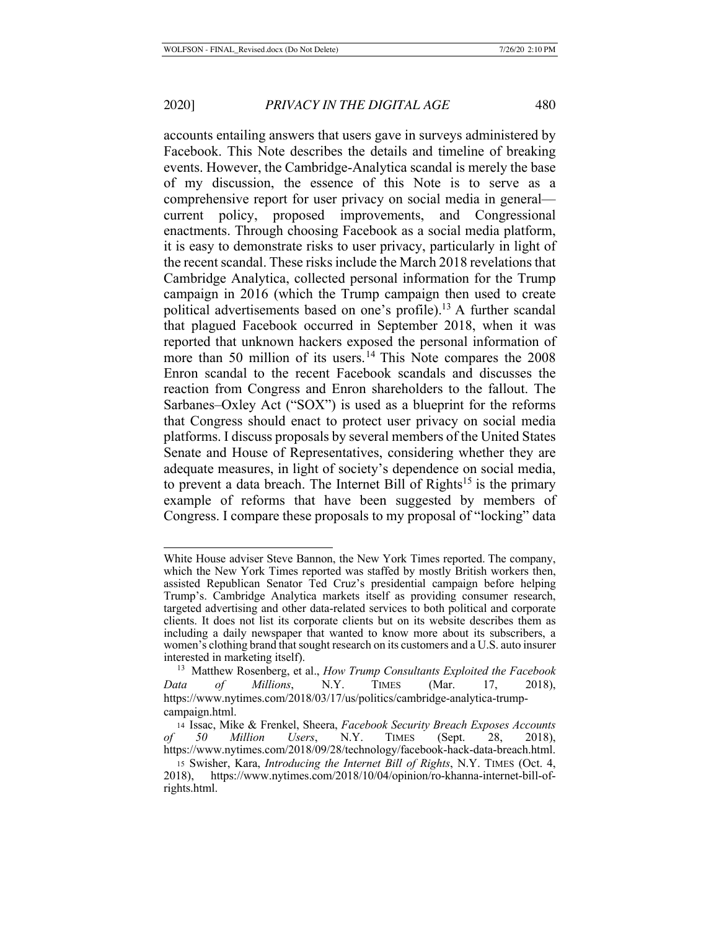accounts entailing answers that users gave in surveys administered by Facebook. This Note describes the details and timeline of breaking events. However, the Cambridge-Analytica scandal is merely the base of my discussion, the essence of this Note is to serve as a comprehensive report for user privacy on social media in general current policy, proposed improvements, and Congressional enactments. Through choosing Facebook as a social media platform, it is easy to demonstrate risks to user privacy, particularly in light of the recent scandal. These risks include the March 2018 revelations that Cambridge Analytica, collected personal information for the Trump campaign in 2016 (which the Trump campaign then used to create political advertisements based on one's profile).<sup>13</sup> A further scandal that plagued Facebook occurred in September 2018, when it was reported that unknown hackers exposed the personal information of more than 50 million of its users.<sup>14</sup> This Note compares the  $2008$ Enron scandal to the recent Facebook scandals and discusses the reaction from Congress and Enron shareholders to the fallout. The Sarbanes–Oxley Act ("SOX") is used as a blueprint for the reforms that Congress should enact to protect user privacy on social media platforms. I discuss proposals by several members of the United States Senate and House of Representatives, considering whether they are adequate measures, in light of society's dependence on social media, to prevent a data breach. The Internet Bill of Rights<sup>15</sup> is the primary example of reforms that have been suggested by members of Congress. I compare these proposals to my proposal of "locking" data

White House adviser Steve Bannon, the New York Times reported. The company, which the New York Times reported was staffed by mostly British workers then, assisted Republican Senator Ted Cruz's presidential campaign before helping Trump's. Cambridge Analytica markets itself as providing consumer research, targeted advertising and other data-related services to both political and corporate clients. It does not list its corporate clients but on its website describes them as including a daily newspaper that wanted to know more about its subscribers, a women's clothing brand that sought research on its customers and a U.S. auto insurer interested in marketing itself). 13 Matthew Rosenberg, et al., *How Trump Consultants Exploited the Facebook* 

*Data of Millions*, N.Y. TIMES (Mar. 17, 2018), https://www.nytimes.com/2018/03/17/us/politics/cambridge-analytica-trumpcampaign.html.

<sup>14</sup> Issac, Mike & Frenkel, Sheera, *Facebook Security Breach Exposes Accounts of 50 Million Users*, N.Y. TIMES (Sept. 28, 2018), https://www.nytimes.com/2018/09/28/technology/facebook-hack-data-breach.html.

<sup>15</sup> Swisher, Kara, *Introducing the Internet Bill of Rights*, N.Y. TIMES (Oct. 4, 2018), https://www.nytimes.com/2018/10/04/opinion/ro-khanna-internet-bill-ofrights.html.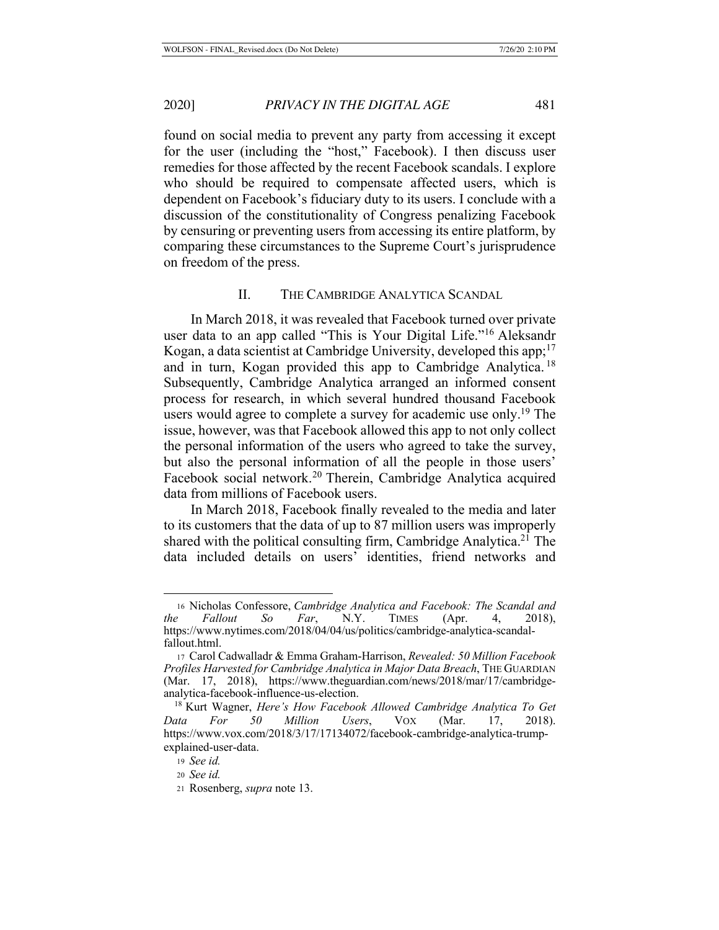found on social media to prevent any party from accessing it except for the user (including the "host," Facebook). I then discuss user remedies for those affected by the recent Facebook scandals. I explore who should be required to compensate affected users, which is dependent on Facebook's fiduciary duty to its users. I conclude with a discussion of the constitutionality of Congress penalizing Facebook by censuring or preventing users from accessing its entire platform, by comparing these circumstances to the Supreme Court's jurisprudence on freedom of the press.

## II. THE CAMBRIDGE ANALYTICA SCANDAL

In March 2018, it was revealed that Facebook turned over private user data to an app called "This is Your Digital Life."16 Aleksandr Kogan, a data scientist at Cambridge University, developed this app;  $17$ and in turn, Kogan provided this app to Cambridge Analytica. <sup>18</sup> Subsequently, Cambridge Analytica arranged an informed consent process for research, in which several hundred thousand Facebook users would agree to complete a survey for academic use only.<sup>19</sup> The issue, however, was that Facebook allowed this app to not only collect the personal information of the users who agreed to take the survey, but also the personal information of all the people in those users' Facebook social network.<sup>20</sup> Therein, Cambridge Analytica acquired data from millions of Facebook users.

In March 2018, Facebook finally revealed to the media and later to its customers that the data of up to 87 million users was improperly shared with the political consulting firm, Cambridge Analytica.<sup>21</sup> The data included details on users' identities, friend networks and

<sup>16</sup> Nicholas Confessore, *Cambridge Analytica and Facebook: The Scandal and the Fallout So Far*, N.Y. TIMES (Apr. 4, 2018), https://www.nytimes.com/2018/04/04/us/politics/cambridge-analytica-scandalfallout.html.

<sup>17</sup> Carol Cadwalladr & Emma Graham-Harrison, *Revealed: 50 Million Facebook Profiles Harvested for Cambridge Analytica in Major Data Breach*, THE GUARDIAN (Mar. 17, 2018), https://www.theguardian.com/news/2018/mar/17/cambridgeanalytica-facebook-influence-us-election.

<sup>18</sup> Kurt Wagner, *Here's How Facebook Allowed Cambridge Analytica To Get Data For 50 Million Users*, VOX (Mar. 17, 2018). https://www.vox.com/2018/3/17/17134072/facebook-cambridge-analytica-trumpexplained-user-data.

<sup>19</sup> *See id.*

<sup>20</sup> *See id.*

<sup>21</sup> Rosenberg, *supra* note 13.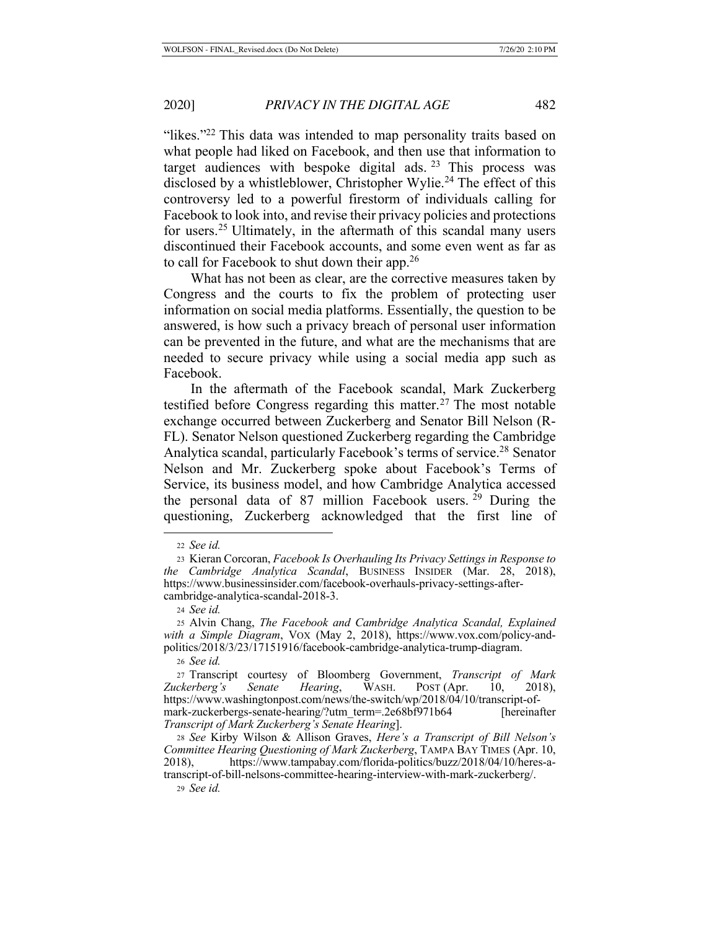"likes."<sup>22</sup> This data was intended to map personality traits based on what people had liked on Facebook, and then use that information to target audiences with bespoke digital ads.  $23$  This process was disclosed by a whistleblower, Christopher Wylie.<sup>24</sup> The effect of this controversy led to a powerful firestorm of individuals calling for Facebook to look into, and revise their privacy policies and protections for users.25 Ultimately, in the aftermath of this scandal many users discontinued their Facebook accounts, and some even went as far as to call for Facebook to shut down their app.26

What has not been as clear, are the corrective measures taken by Congress and the courts to fix the problem of protecting user information on social media platforms. Essentially, the question to be answered, is how such a privacy breach of personal user information can be prevented in the future, and what are the mechanisms that are needed to secure privacy while using a social media app such as Facebook.

In the aftermath of the Facebook scandal, Mark Zuckerberg testified before Congress regarding this matter.<sup>27</sup> The most notable exchange occurred between Zuckerberg and Senator Bill Nelson (R-FL). Senator Nelson questioned Zuckerberg regarding the Cambridge Analytica scandal, particularly Facebook's terms of service.<sup>28</sup> Senator Nelson and Mr. Zuckerberg spoke about Facebook's Terms of Service, its business model, and how Cambridge Analytica accessed the personal data of 87 million Facebook users. 29 During the questioning, Zuckerberg acknowledged that the first line of

<sup>26</sup> *See id.*

<sup>29</sup> *See id.*

<sup>22</sup> *See id.*

<sup>23</sup> Kieran Corcoran, *Facebook Is Overhauling Its Privacy Settings in Response to the Cambridge Analytica Scandal*, BUSINESS INSIDER (Mar. 28, 2018), https://www.businessinsider.com/facebook-overhauls-privacy-settings-aftercambridge-analytica-scandal-2018-3.

<sup>24</sup> *See id.*

<sup>25</sup> Alvin Chang, *The Facebook and Cambridge Analytica Scandal, Explained with a Simple Diagram*, VOX (May 2, 2018), https://www.vox.com/policy-andpolitics/2018/3/23/17151916/facebook-cambridge-analytica-trump-diagram.

<sup>27</sup> Transcript courtesy of Bloomberg Government, *Transcript of Mark Zuckerberg's Senate Hearing*, WASH. POST (Apr. 10, https://www.washingtonpost.com/news/the-switch/wp/2018/04/10/transcript-ofmark-zuckerbergs-senate-hearing/?utm\_term=.2e68bf971b64 [hereinafter *Transcript of Mark Zuckerberg's Senate Hearing*].

<sup>28</sup> *See* Kirby Wilson & Allison Graves, *Here's a Transcript of Bill Nelson's Committee Hearing Questioning of Mark Zuckerberg*, TAMPA BAY TIMES (Apr. 10, 2018), https://www.tampabay.com/florida-politics/buzz/2018/04/10/heres-atranscript-of-bill-nelsons-committee-hearing-interview-with-mark-zuckerberg/.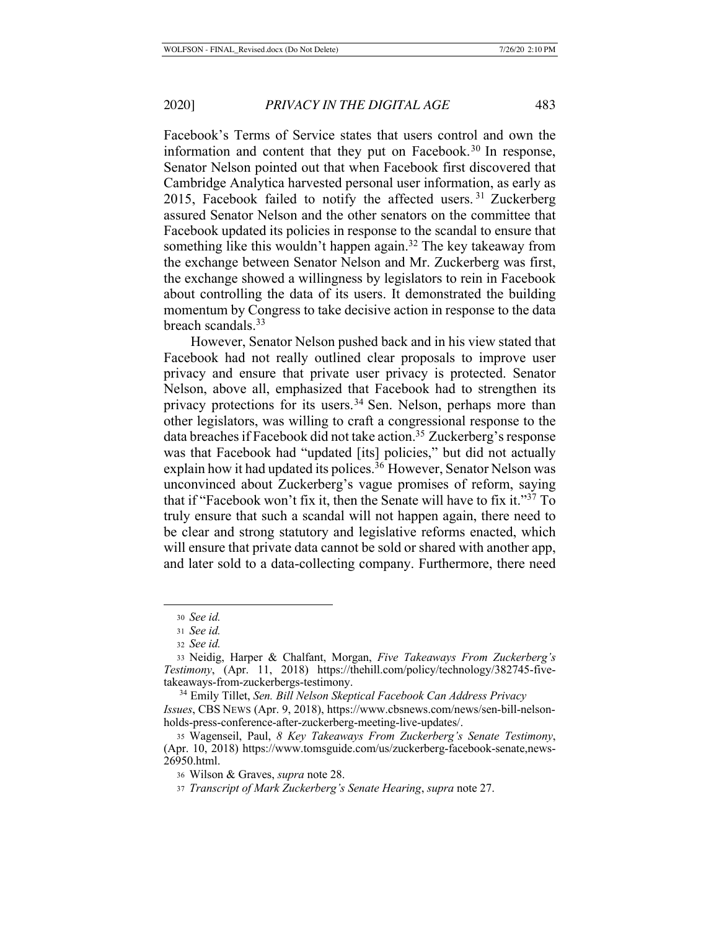Facebook's Terms of Service states that users control and own the

information and content that they put on Facebook.<sup>30</sup> In response, Senator Nelson pointed out that when Facebook first discovered that Cambridge Analytica harvested personal user information, as early as 2015, Facebook failed to notify the affected users. <sup>31</sup> Zuckerberg assured Senator Nelson and the other senators on the committee that Facebook updated its policies in response to the scandal to ensure that something like this wouldn't happen again.<sup>32</sup> The key takeaway from the exchange between Senator Nelson and Mr. Zuckerberg was first, the exchange showed a willingness by legislators to rein in Facebook about controlling the data of its users. It demonstrated the building momentum by Congress to take decisive action in response to the data breach scandals.33

However, Senator Nelson pushed back and in his view stated that Facebook had not really outlined clear proposals to improve user privacy and ensure that private user privacy is protected. Senator Nelson, above all, emphasized that Facebook had to strengthen its privacy protections for its users.<sup>34</sup> Sen. Nelson, perhaps more than other legislators, was willing to craft a congressional response to the data breaches if Facebook did not take action.<sup>35</sup> Zuckerberg's response was that Facebook had "updated [its] policies," but did not actually explain how it had updated its polices.<sup>36</sup> However, Senator Nelson was unconvinced about Zuckerberg's vague promises of reform, saying that if "Facebook won't fix it, then the Senate will have to fix it."37 To truly ensure that such a scandal will not happen again, there need to be clear and strong statutory and legislative reforms enacted, which will ensure that private data cannot be sold or shared with another app, and later sold to a data-collecting company. Furthermore, there need

<sup>30</sup> *See id.*

<sup>31</sup> *See id.*

<sup>32</sup> *See id.*

<sup>33</sup> Neidig, Harper & Chalfant, Morgan, *Five Takeaways From Zuckerberg's Testimony*, (Apr. 11, 2018) https://thehill.com/policy/technology/382745-fivetakeaways-from-zuckerbergs-testimony. 34 Emily Tillet, *Sen. Bill Nelson Skeptical Facebook Can Address Privacy* 

*Issues*, CBS NEWS (Apr. 9, 2018), https://www.cbsnews.com/news/sen-bill-nelsonholds-press-conference-after-zuckerberg-meeting-live-updates/.

<sup>35</sup> Wagenseil, Paul, *8 Key Takeaways From Zuckerberg's Senate Testimony*, (Apr. 10, 2018) https://www.tomsguide.com/us/zuckerberg-facebook-senate,news-26950.html.

<sup>36</sup> Wilson & Graves, *supra* note 28.

<sup>37</sup> *Transcript of Mark Zuckerberg's Senate Hearing*, *supra* note 27.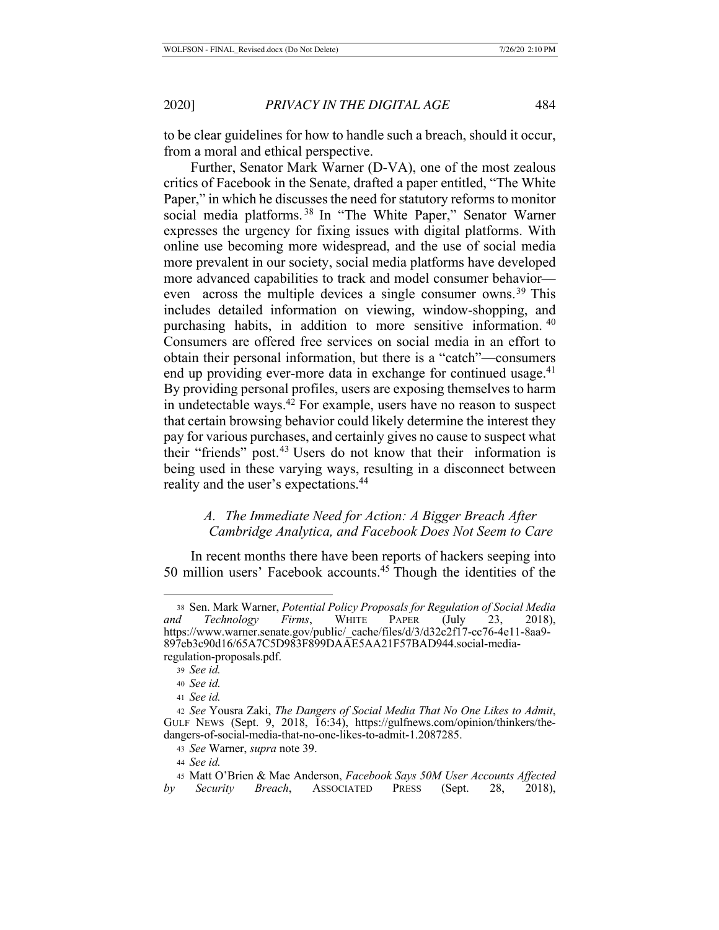to be clear guidelines for how to handle such a breach, should it occur, from a moral and ethical perspective.

Further, Senator Mark Warner (D-VA), one of the most zealous critics of Facebook in the Senate, drafted a paper entitled, "The White Paper," in which he discusses the need for statutory reforms to monitor social media platforms.<sup>38</sup> In "The White Paper," Senator Warner expresses the urgency for fixing issues with digital platforms. With online use becoming more widespread, and the use of social media more prevalent in our society, social media platforms have developed more advanced capabilities to track and model consumer behavior even across the multiple devices a single consumer owns.<sup>39</sup> This includes detailed information on viewing, window-shopping, and purchasing habits, in addition to more sensitive information. <sup>40</sup> Consumers are offered free services on social media in an effort to obtain their personal information, but there is a "catch"—consumers end up providing ever-more data in exchange for continued usage. $41$ By providing personal profiles, users are exposing themselves to harm in undetectable ways.42 For example, users have no reason to suspect that certain browsing behavior could likely determine the interest they pay for various purchases, and certainly gives no cause to suspect what their "friends" post.<sup>43</sup> Users do not know that their information is being used in these varying ways, resulting in a disconnect between reality and the user's expectations.44

# *A. The Immediate Need for Action: A Bigger Breach After Cambridge Analytica, and Facebook Does Not Seem to Care*

In recent months there have been reports of hackers seeping into 50 million users' Facebook accounts.45 Though the identities of the

<sup>38</sup> Sen. Mark Warner, *Potential Policy Proposals for Regulation of Social Media and Technology Firms*, WHITE PAPER (July 23, 2018), https://www.warner.senate.gov/public/\_cache/files/d/3/d32c2f17-cc76-4e11-8aa9- 897eb3c90d16/65A7C5D983F899DAAE5AA21F57BAD944.social-mediaregulation-proposals.pdf.

<sup>39</sup> *See id.*

<sup>40</sup> *See id.*

<sup>41</sup> *See id.*

<sup>42</sup> *See* Yousra Zaki, *The Dangers of Social Media That No One Likes to Admit*, GULF NEWS (Sept. 9, 2018, 16:34), https://gulfnews.com/opinion/thinkers/thedangers-of-social-media-that-no-one-likes-to-admit-1.2087285.

<sup>43</sup> *See* Warner, *supra* note 39.

<sup>44</sup> *See id.*

<sup>45</sup> Matt O'Brien & Mae Anderson, *Facebook Says 50M User Accounts Affected by Security Breach*, ASSOCIATED PRESS (Sept. 28, 2018),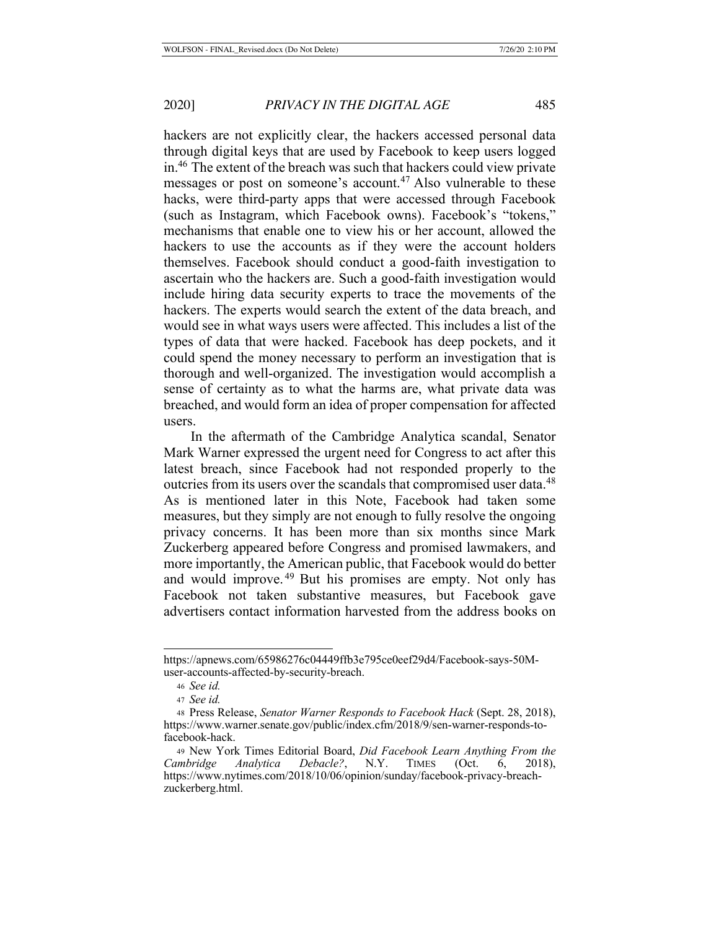hackers are not explicitly clear, the hackers accessed personal data through digital keys that are used by Facebook to keep users logged in.46 The extent of the breach was such that hackers could view private messages or post on someone's account.<sup>47</sup> Also vulnerable to these hacks, were third-party apps that were accessed through Facebook (such as Instagram, which Facebook owns). Facebook's "tokens," mechanisms that enable one to view his or her account, allowed the hackers to use the accounts as if they were the account holders themselves. Facebook should conduct a good-faith investigation to ascertain who the hackers are. Such a good-faith investigation would include hiring data security experts to trace the movements of the hackers. The experts would search the extent of the data breach, and would see in what ways users were affected. This includes a list of the types of data that were hacked. Facebook has deep pockets, and it could spend the money necessary to perform an investigation that is thorough and well-organized. The investigation would accomplish a sense of certainty as to what the harms are, what private data was breached, and would form an idea of proper compensation for affected users.

In the aftermath of the Cambridge Analytica scandal, Senator Mark Warner expressed the urgent need for Congress to act after this latest breach, since Facebook had not responded properly to the outcries from its users over the scandals that compromised user data.<sup>48</sup> As is mentioned later in this Note, Facebook had taken some measures, but they simply are not enough to fully resolve the ongoing privacy concerns. It has been more than six months since Mark Zuckerberg appeared before Congress and promised lawmakers, and more importantly, the American public, that Facebook would do better and would improve.<sup>49</sup> But his promises are empty. Not only has Facebook not taken substantive measures, but Facebook gave advertisers contact information harvested from the address books on

https://apnews.com/65986276c04449ffb3e795ce0eef29d4/Facebook-says-50Muser-accounts-affected-by-security-breach.

<sup>46</sup> *See id.*

<sup>47</sup> *See id.*

<sup>48</sup> Press Release, *Senator Warner Responds to Facebook Hack* (Sept. 28, 2018), https://www.warner.senate.gov/public/index.cfm/2018/9/sen-warner-responds-tofacebook-hack.

<sup>49</sup> New York Times Editorial Board, *Did Facebook Learn Anything From the Cambridge Analytica Debacle?*, N.Y. TIMES (Oct. 6, 2018), https://www.nytimes.com/2018/10/06/opinion/sunday/facebook-privacy-breachzuckerberg.html.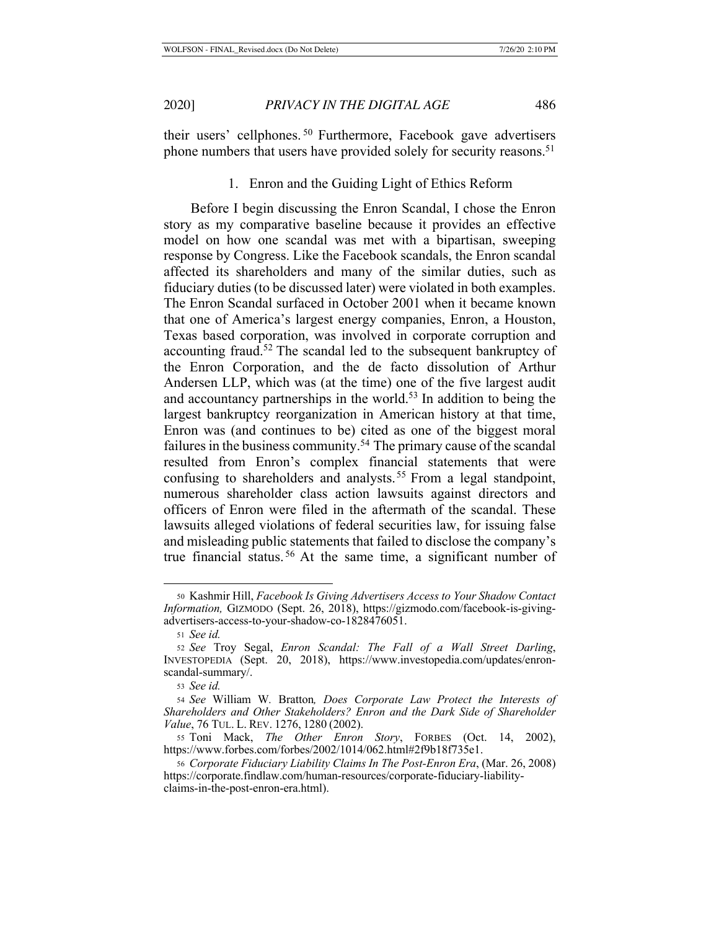their users' cellphones. <sup>50</sup> Furthermore, Facebook gave advertisers phone numbers that users have provided solely for security reasons.<sup>51</sup>

### 1. Enron and the Guiding Light of Ethics Reform

Before I begin discussing the Enron Scandal, I chose the Enron story as my comparative baseline because it provides an effective model on how one scandal was met with a bipartisan, sweeping response by Congress. Like the Facebook scandals, the Enron scandal affected its shareholders and many of the similar duties, such as fiduciary duties (to be discussed later) were violated in both examples. The Enron Scandal surfaced in October 2001 when it became known that one of America's largest energy companies, Enron, a Houston, Texas based corporation, was involved in corporate corruption and accounting fraud.52 The scandal led to the subsequent bankruptcy of the Enron Corporation, and the de facto dissolution of Arthur Andersen LLP, which was (at the time) one of the five largest audit and accountancy partnerships in the world.<sup>53</sup> In addition to being the largest bankruptcy reorganization in American history at that time, Enron was (and continues to be) cited as one of the biggest moral failures in the business community.<sup>54</sup> The primary cause of the scandal resulted from Enron's complex financial statements that were confusing to shareholders and analysts. 55 From a legal standpoint, numerous shareholder class action lawsuits against directors and officers of Enron were filed in the aftermath of the scandal. These lawsuits alleged violations of federal securities law, for issuing false and misleading public statements that failed to disclose the company's true financial status. 56 At the same time, a significant number of

<sup>50</sup> Kashmir Hill, *Facebook Is Giving Advertisers Access to Your Shadow Contact Information,* GIZMODO (Sept. 26, 2018), https://gizmodo.com/facebook-is-givingadvertisers-access-to-your-shadow-co-1828476051.

<sup>51</sup> *See id.*

<sup>52</sup> *See* Troy Segal, *Enron Scandal: The Fall of a Wall Street Darling*, INVESTOPEDIA (Sept. 20, 2018), https://www.investopedia.com/updates/enronscandal-summary/.

<sup>53</sup> *See id.*

<sup>54</sup> *See* William W*.* Bratton*, Does Corporate Law Protect the Interests of Shareholders and Other Stakeholders? Enron and the Dark Side of Shareholder Value*, 76 TUL. L. REV. 1276, 1280 (2002).

<sup>55</sup> Toni Mack, *The Other Enron Story*, FORBES (Oct. 14, 2002), https://www.forbes.com/forbes/2002/1014/062.html#2f9b18f735e1.

<sup>56</sup> *Corporate Fiduciary Liability Claims In The Post-Enron Era*, (Mar. 26, 2008) https://corporate.findlaw.com/human-resources/corporate-fiduciary-liabilityclaims-in-the-post-enron-era.html).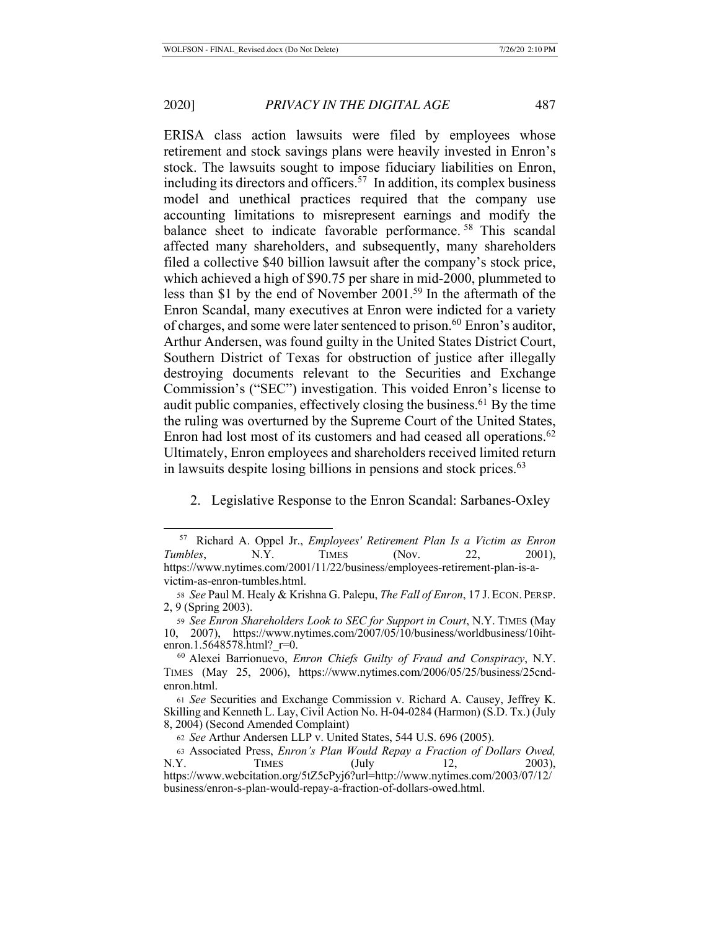ERISA class action lawsuits were filed by employees whose retirement and stock savings plans were heavily invested in Enron's stock. The lawsuits sought to impose fiduciary liabilities on Enron, including its directors and officers.<sup>57</sup> In addition, its complex business model and unethical practices required that the company use accounting limitations to misrepresent earnings and modify the balance sheet to indicate favorable performance.<sup>58</sup> This scandal affected many shareholders, and subsequently, many shareholders filed a collective \$40 billion lawsuit after the company's stock price, which achieved a high of \$90.75 per share in mid-2000, plummeted to less than \$1 by the end of November 2001.59 In the aftermath of the Enron Scandal, many executives at Enron were indicted for a variety of charges, and some were later sentenced to prison.<sup>60</sup> Enron's auditor, Arthur Andersen, was found guilty in the United States District Court, Southern District of Texas for obstruction of justice after illegally destroying documents relevant to the Securities and Exchange Commission's ("SEC") investigation. This voided Enron's license to audit public companies, effectively closing the business.<sup>61</sup> By the time the ruling was overturned by the Supreme Court of the United States, Enron had lost most of its customers and had ceased all operations.<sup>62</sup> Ultimately, Enron employees and shareholders received limited return in lawsuits despite losing billions in pensions and stock prices.<sup>63</sup>

2. Legislative Response to the Enron Scandal: Sarbanes-Oxley

<sup>57</sup> Richard A. Oppel Jr., *Employees' Retirement Plan Is a Victim as Enron Tumbles*, N.Y. *TIMES* (Nov. 22, 2001), https://www.nytimes.com/2001/11/22/business/employees-retirement-plan-is-avictim-as-enron-tumbles.html.

<sup>58</sup> *See* Paul M. Healy & Krishna G. Palepu, *The Fall of Enron*, 17 J. ECON. PERSP. 2, 9 (Spring 2003).

<sup>59</sup> *See Enron Shareholders Look to SEC for Support in Court*, N.Y. TIMES (May 10, 2007), https://www.nytimes.com/2007/05/10/business/worldbusiness/10ihtenron.1.5648578.html?\_r=0.

<sup>60</sup> Alexei Barrionuevo, *Enron Chiefs Guilty of Fraud and Conspiracy*, N.Y. TIMES (May 25, 2006), https://www.nytimes.com/2006/05/25/business/25cndenron.html.

<sup>61</sup> *See* Securities and Exchange Commission v. Richard A. Causey, Jeffrey K. Skilling and Kenneth L. Lay, Civil Action No. H-04-0284 (Harmon) (S.D. Tx.) (July 8, 2004) (Second Amended Complaint)

<sup>62</sup> *See* Arthur Andersen LLP v. United States, 544 U.S. 696 (2005).

<sup>63</sup> Associated Press, *Enron's Plan Would Repay a Fraction of Dollars Owed,* N.Y. TIMES (July 12, 2003), https://www.webcitation.org/5tZ5cPyj6?url=http://www.nytimes.com/2003/07/12/ business/enron-s-plan-would-repay-a-fraction-of-dollars-owed.html.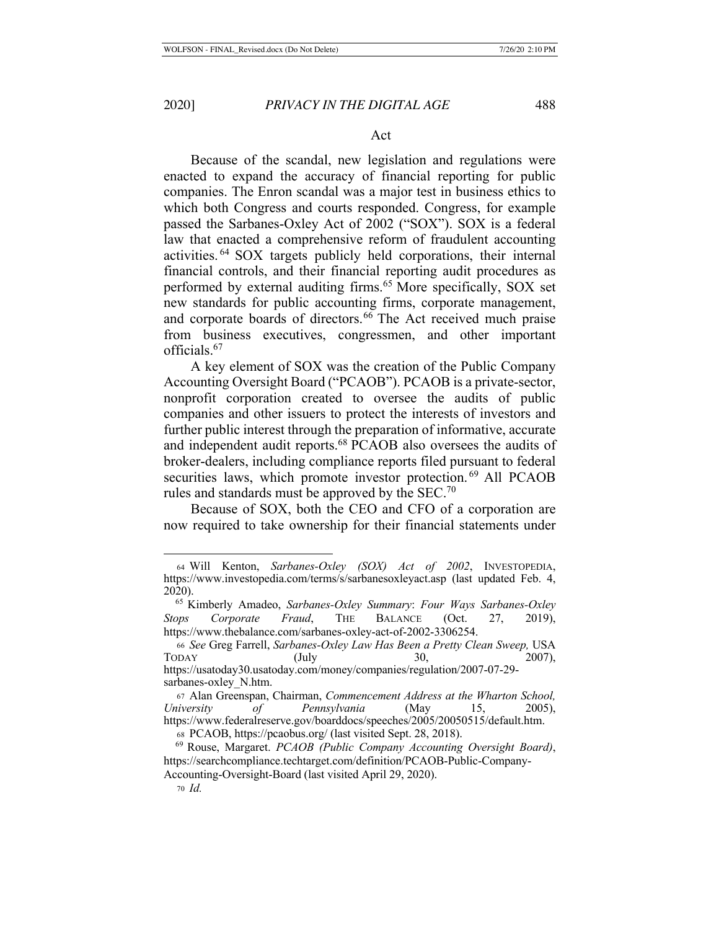### Act

Because of the scandal, new legislation and regulations were enacted to expand the accuracy of financial reporting for public companies. The Enron scandal was a major test in business ethics to which both Congress and courts responded. Congress, for example passed the Sarbanes-Oxley Act of 2002 ("SOX"). SOX is a federal law that enacted a comprehensive reform of fraudulent accounting activities. 64 SOX targets publicly held corporations, their internal financial controls, and their financial reporting audit procedures as performed by external auditing firms.<sup>65</sup> More specifically, SOX set new standards for public accounting firms, corporate management, and corporate boards of directors.<sup>66</sup> The Act received much praise from business executives, congressmen, and other important officials.67

A key element of SOX was the creation of the Public Company Accounting Oversight Board ("PCAOB"). PCAOB is a private-sector, nonprofit corporation created to oversee the audits of public companies and other issuers to protect the interests of investors and further public interest through the preparation of informative, accurate and independent audit reports.68 PCAOB also oversees the audits of broker-dealers, including compliance reports filed pursuant to federal securities laws, which promote investor protection.<sup>69</sup> All PCAOB rules and standards must be approved by the  $SEC.^{70}$ 

Because of SOX, both the CEO and CFO of a corporation are now required to take ownership for their financial statements under

<sup>64</sup> Will Kenton, *Sarbanes-Oxley (SOX) Act of 2002*, INVESTOPEDIA, https://www.investopedia.com/terms/s/sarbanesoxleyact.asp (last updated Feb. 4, 2020).

 <sup>65</sup> Kimberly Amadeo, *Sarbanes-Oxley Summary*: *Four Ways Sarbanes-Oxley Stops Corporate Fraud*, THE BALANCE (Oct. 27, 2019), https://www.thebalance.com/sarbanes-oxley-act-of-2002-3306254.

<sup>66</sup> *See* Greg Farrell, *Sarbanes-Oxley Law Has Been a Pretty Clean Sweep,* USA TODAY (July 30, 2007), https://usatoday30.usatoday.com/money/companies/regulation/2007-07-29 sarbanes-oxley\_N.htm.

<sup>67</sup> Alan Greenspan, Chairman, *Commencement Address at the Wharton School, University of Pennsylvania* (May 15, 2005), https://www.federalreserve.gov/boarddocs/speeches/2005/20050515/default.htm.

<sup>68</sup> PCAOB, https://pcaobus.org/ (last visited Sept. 28, 2018).

 <sup>69</sup> Rouse, Margaret. *PCAOB (Public Company Accounting Oversight Board)*, https://searchcompliance.techtarget.com/definition/PCAOB-Public-Company-Accounting-Oversight-Board (last visited April 29, 2020).

<sup>70</sup> *Id.*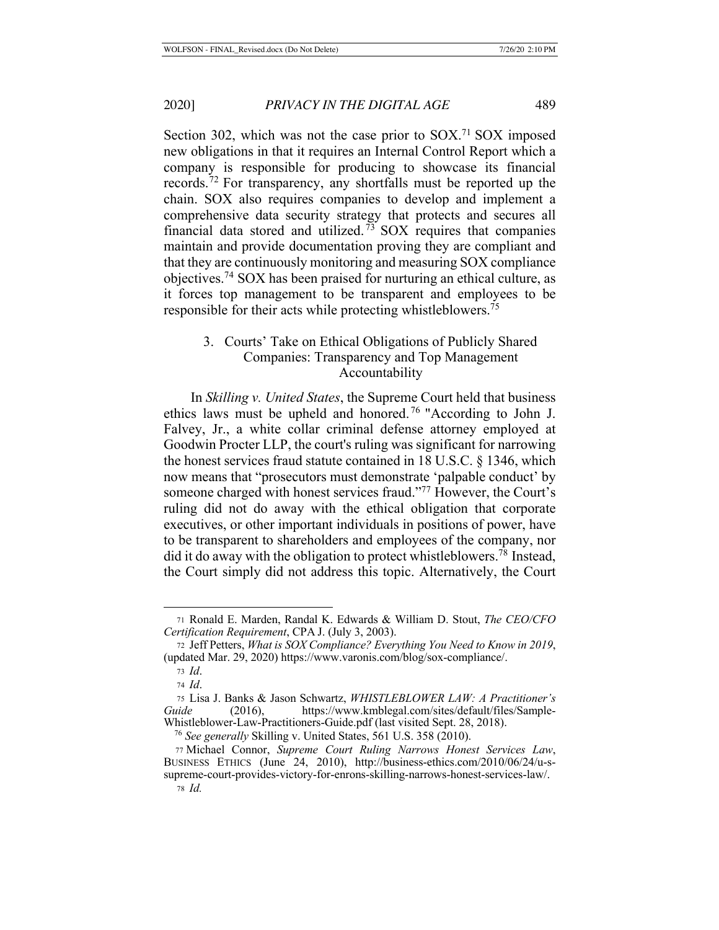Section 302, which was not the case prior to SOX.<sup>71</sup> SOX imposed new obligations in that it requires an Internal Control Report which a company is responsible for producing to showcase its financial records.72 For transparency, any shortfalls must be reported up the chain. SOX also requires companies to develop and implement a comprehensive data security strategy that protects and secures all financial data stored and utilized.<sup>73</sup> SOX requires that companies maintain and provide documentation proving they are compliant and that they are continuously monitoring and measuring SOX compliance objectives.74 SOX has been praised for nurturing an ethical culture, as it forces top management to be transparent and employees to be responsible for their acts while protecting whistleblowers.75

# 3. Courts' Take on Ethical Obligations of Publicly Shared Companies: Transparency and Top Management Accountability

In *Skilling v. United States*, the Supreme Court held that business ethics laws must be upheld and honored. 76 "According to John J. Falvey, Jr., a white collar criminal defense attorney employed at Goodwin Procter LLP, the court's ruling was significant for narrowing the honest services fraud statute contained in 18 U.S.C. § 1346, which now means that "prosecutors must demonstrate 'palpable conduct' by someone charged with honest services fraud."77 However, the Court's ruling did not do away with the ethical obligation that corporate executives, or other important individuals in positions of power, have to be transparent to shareholders and employees of the company, nor did it do away with the obligation to protect whistleblowers.78 Instead, the Court simply did not address this topic. Alternatively, the Court

<sup>71</sup> Ronald E. Marden, Randal K. Edwards & William D. Stout, *The CEO/CFO Certification Requirement*, CPA J. (July 3, 2003).

<sup>72</sup> Jeff Petters, *What is SOX Compliance? Everything You Need to Know in 2019*, (updated Mar. 29, 2020) https://www.varonis.com/blog/sox-compliance/.

<sup>73</sup> *Id*.

<sup>74</sup> *Id*.

<sup>75</sup> Lisa J. Banks & Jason Schwartz, *WHISTLEBLOWER LAW: A Practitioner's*  Guide (2016), https://www.kmblegal.com/sites/default/files/Sample-Whistleblower-Law-Practitioners-Guide.pdf (last visited Sept. 28, 2018).

<sup>76</sup> *See generally* Skilling v. United States, 561 U.S. 358 (2010).

<sup>77</sup> Michael Connor, *Supreme Court Ruling Narrows Honest Services Law*, BUSINESS ETHICS (June 24, 2010), http://business-ethics.com/2010/06/24/u-ssupreme-court-provides-victory-for-enrons-skilling-narrows-honest-services-law/. <sup>78</sup> *Id.*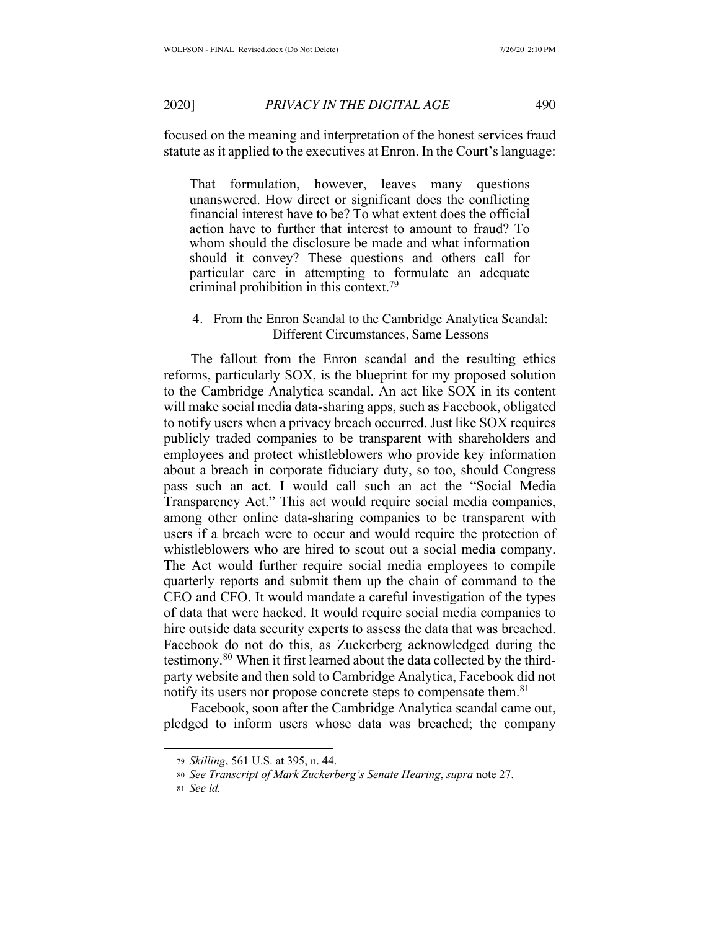focused on the meaning and interpretation of the honest services fraud statute as it applied to the executives at Enron. In the Court's language:

That formulation, however, leaves many questions unanswered. How direct or significant does the conflicting financial interest have to be? To what extent does the official action have to further that interest to amount to fraud? To whom should the disclosure be made and what information should it convey? These questions and others call for particular care in attempting to formulate an adequate criminal prohibition in this context.<sup>79</sup>

## 4. From the Enron Scandal to the Cambridge Analytica Scandal: Different Circumstances, Same Lessons

The fallout from the Enron scandal and the resulting ethics reforms, particularly SOX, is the blueprint for my proposed solution to the Cambridge Analytica scandal. An act like SOX in its content will make social media data-sharing apps, such as Facebook, obligated to notify users when a privacy breach occurred. Just like SOX requires publicly traded companies to be transparent with shareholders and employees and protect whistleblowers who provide key information about a breach in corporate fiduciary duty, so too, should Congress pass such an act. I would call such an act the "Social Media Transparency Act." This act would require social media companies, among other online data-sharing companies to be transparent with users if a breach were to occur and would require the protection of whistleblowers who are hired to scout out a social media company. The Act would further require social media employees to compile quarterly reports and submit them up the chain of command to the CEO and CFO. It would mandate a careful investigation of the types of data that were hacked. It would require social media companies to hire outside data security experts to assess the data that was breached. Facebook do not do this, as Zuckerberg acknowledged during the testimony.80 When it first learned about the data collected by the thirdparty website and then sold to Cambridge Analytica, Facebook did not notify its users nor propose concrete steps to compensate them.<sup>81</sup>

Facebook, soon after the Cambridge Analytica scandal came out, pledged to inform users whose data was breached; the company

<sup>79</sup> *Skilling*, 561 U.S. at 395, n. 44.

<sup>80</sup> *See Transcript of Mark Zuckerberg's Senate Hearing*, *supra* note 27.

<sup>81</sup> *See id.*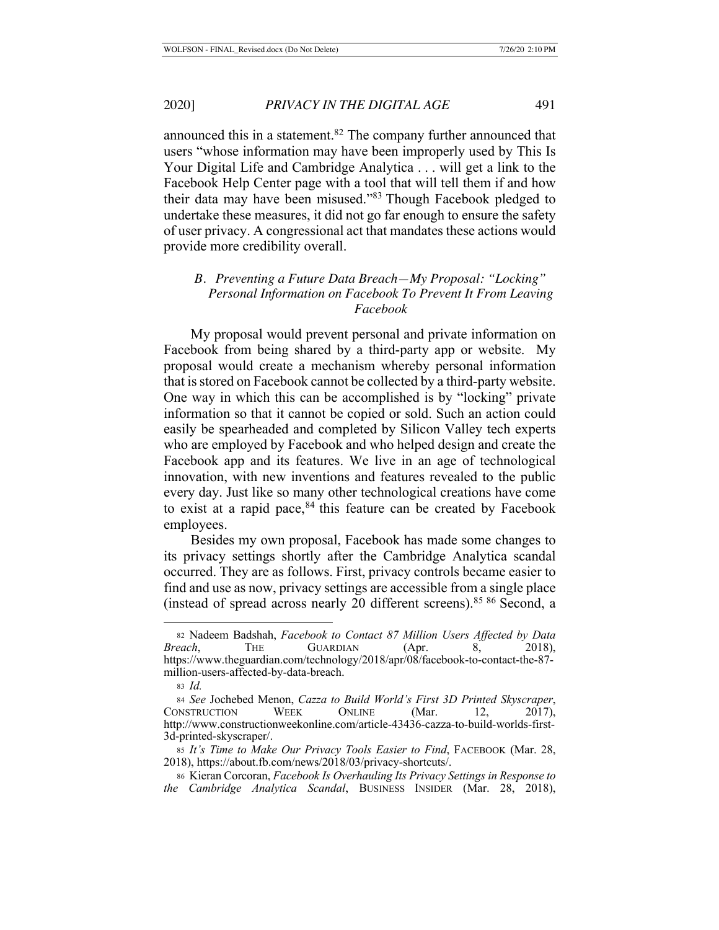announced this in a statement.82 The company further announced that users "whose information may have been improperly used by This Is Your Digital Life and Cambridge Analytica . . . will get a link to the Facebook Help Center page with a tool that will tell them if and how their data may have been misused."83 Though Facebook pledged to undertake these measures, it did not go far enough to ensure the safety of user privacy. A congressional act that mandates these actions would provide more credibility overall.

## *B. Preventing a Future Data Breach—My Proposal: "Locking" Personal Information on Facebook To Prevent It From Leaving Facebook*

My proposal would prevent personal and private information on Facebook from being shared by a third-party app or website. My proposal would create a mechanism whereby personal information that is stored on Facebook cannot be collected by a third-party website. One way in which this can be accomplished is by "locking" private information so that it cannot be copied or sold. Such an action could easily be spearheaded and completed by Silicon Valley tech experts who are employed by Facebook and who helped design and create the Facebook app and its features. We live in an age of technological innovation, with new inventions and features revealed to the public every day. Just like so many other technological creations have come to exist at a rapid pace, $84$  this feature can be created by Facebook employees.

Besides my own proposal, Facebook has made some changes to its privacy settings shortly after the Cambridge Analytica scandal occurred. They are as follows. First, privacy controls became easier to find and use as now, privacy settings are accessible from a single place (instead of spread across nearly 20 different screens).85 86 Second, a

<sup>83</sup> *Id.*

<sup>82</sup> Nadeem Badshah, *Facebook to Contact 87 Million Users Affected by Data Breach*, THE GUARDIAN (Apr. 8, 2018), https://www.theguardian.com/technology/2018/apr/08/facebook-to-contact-the-87 million-users-affected-by-data-breach.

<sup>84</sup> *See* Jochebed Menon, *Cazza to Build World's First 3D Printed Skyscraper*, CONSTRUCTION WEEK ONLINE (Mar. 12, 2017), http://www.constructionweekonline.com/article-43436-cazza-to-build-worlds-first-3d-printed-skyscraper/.

<sup>85</sup> *It's Time to Make Our Privacy Tools Easier to Find*, FACEBOOK (Mar. 28, 2018), https://about.fb.com/news/2018/03/privacy-shortcuts/.

<sup>86</sup> Kieran Corcoran, *Facebook Is Overhauling Its Privacy Settings in Response to the Cambridge Analytica Scandal*, BUSINESS INSIDER (Mar. 28, 2018),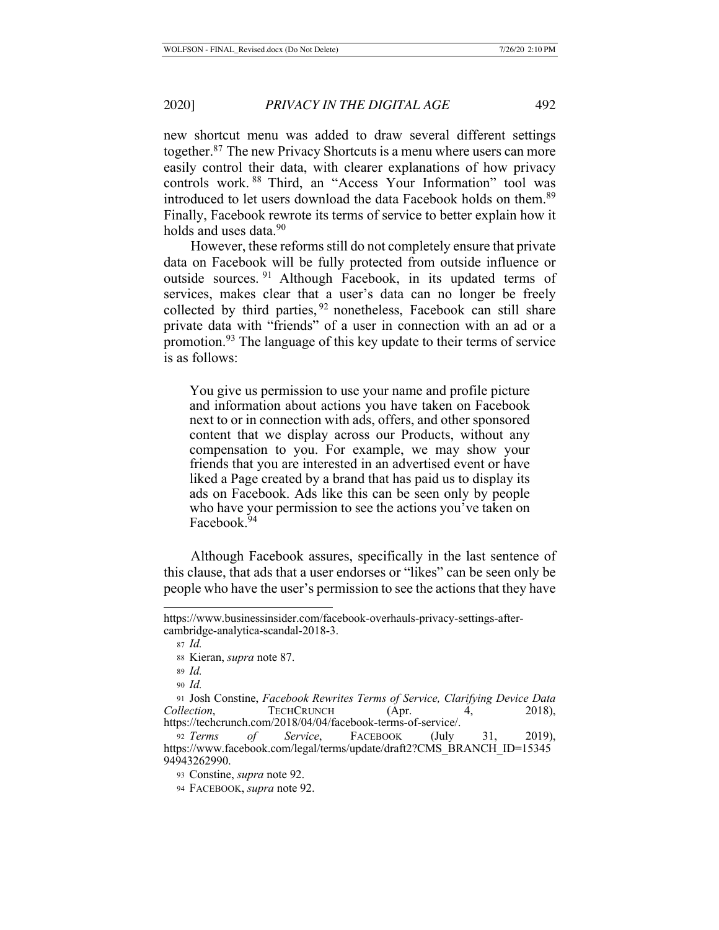new shortcut menu was added to draw several different settings together.87 The new Privacy Shortcuts is a menu where users can more easily control their data, with clearer explanations of how privacy controls work. 88 Third, an "Access Your Information" tool was introduced to let users download the data Facebook holds on them.<sup>89</sup> Finally, Facebook rewrote its terms of service to better explain how it holds and uses data.<sup>90</sup>

However, these reforms still do not completely ensure that private data on Facebook will be fully protected from outside influence or outside sources. 91 Although Facebook, in its updated terms of services, makes clear that a user's data can no longer be freely collected by third parties, <sup>92</sup> nonetheless, Facebook can still share private data with "friends" of a user in connection with an ad or a promotion.93 The language of this key update to their terms of service is as follows:

You give us permission to use your name and profile picture and information about actions you have taken on Facebook next to or in connection with ads, offers, and other sponsored content that we display across our Products, without any compensation to you. For example, we may show your friends that you are interested in an advertised event or have liked a Page created by a brand that has paid us to display its ads on Facebook. Ads like this can be seen only by people who have your permission to see the actions you've taken on Facebook.<sup>94</sup>

Although Facebook assures, specifically in the last sentence of this clause, that ads that a user endorses or "likes" can be seen only be people who have the user's permission to see the actions that they have

https://www.businessinsider.com/facebook-overhauls-privacy-settings-aftercambridge-analytica-scandal-2018-3.

<sup>87</sup> *Id.*

<sup>88</sup> Kieran, *supra* note 87.

<sup>89</sup> *Id.*

<sup>90</sup> *Id.*

<sup>91</sup> Josh Constine, *Facebook Rewrites Terms of Service, Clarifying Device Data Collection*, **TECHCRUNCH** (Apr. 4, 2018), https://techcrunch.com/2018/04/04/facebook-terms-of-service/.

<sup>92</sup> *Terms of Service*, FACEBOOK (July 31, 2019), https://www.facebook.com/legal/terms/update/draft2?CMS\_BRANCH\_ID=15345 94943262990.

<sup>93</sup> Constine, *supra* note 92.

<sup>94</sup> FACEBOOK, *supra* note 92.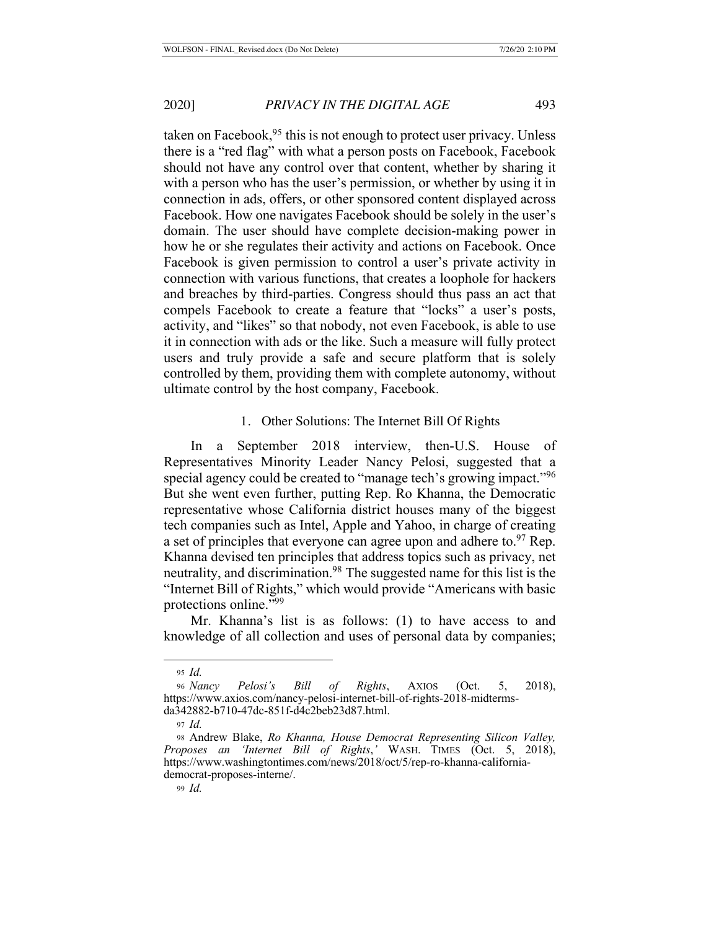taken on Facebook,  $95$  this is not enough to protect user privacy. Unless there is a "red flag" with what a person posts on Facebook, Facebook should not have any control over that content, whether by sharing it with a person who has the user's permission, or whether by using it in connection in ads, offers, or other sponsored content displayed across Facebook. How one navigates Facebook should be solely in the user's domain. The user should have complete decision-making power in how he or she regulates their activity and actions on Facebook. Once Facebook is given permission to control a user's private activity in connection with various functions, that creates a loophole for hackers and breaches by third-parties. Congress should thus pass an act that compels Facebook to create a feature that "locks" a user's posts, activity, and "likes" so that nobody, not even Facebook, is able to use it in connection with ads or the like. Such a measure will fully protect users and truly provide a safe and secure platform that is solely controlled by them, providing them with complete autonomy, without ultimate control by the host company, Facebook.

### 1. Other Solutions: The Internet Bill Of Rights

In a September 2018 interview, then-U.S. House of Representatives Minority Leader Nancy Pelosi, suggested that a special agency could be created to "manage tech's growing impact."<sup>96</sup> But she went even further, putting Rep. Ro Khanna, the Democratic representative whose California district houses many of the biggest tech companies such as Intel, Apple and Yahoo, in charge of creating a set of principles that everyone can agree upon and adhere to. $97$  Rep. Khanna devised ten principles that address topics such as privacy, net neutrality, and discrimination.<sup>98</sup> The suggested name for this list is the "Internet Bill of Rights," which would provide "Americans with basic protections online."99

Mr. Khanna's list is as follows: (1) to have access to and knowledge of all collection and uses of personal data by companies;

<sup>95</sup> *Id.*

<sup>96</sup> *Nancy Pelosi's Bill of Rights*, AXIOS (Oct. 5, 2018), https://www.axios.com/nancy-pelosi-internet-bill-of-rights-2018-midtermsda342882-b710-47dc-851f-d4c2beb23d87.html.

<sup>97</sup> *Id.*

<sup>98</sup> Andrew Blake, *Ro Khanna, House Democrat Representing Silicon Valley, Proposes an 'Internet Bill of Rights*,*'* WASH. TIMES (Oct. 5, 2018), https://www.washingtontimes.com/news/2018/oct/5/rep-ro-khanna-californiademocrat-proposes-interne/.

<sup>99</sup> *Id.*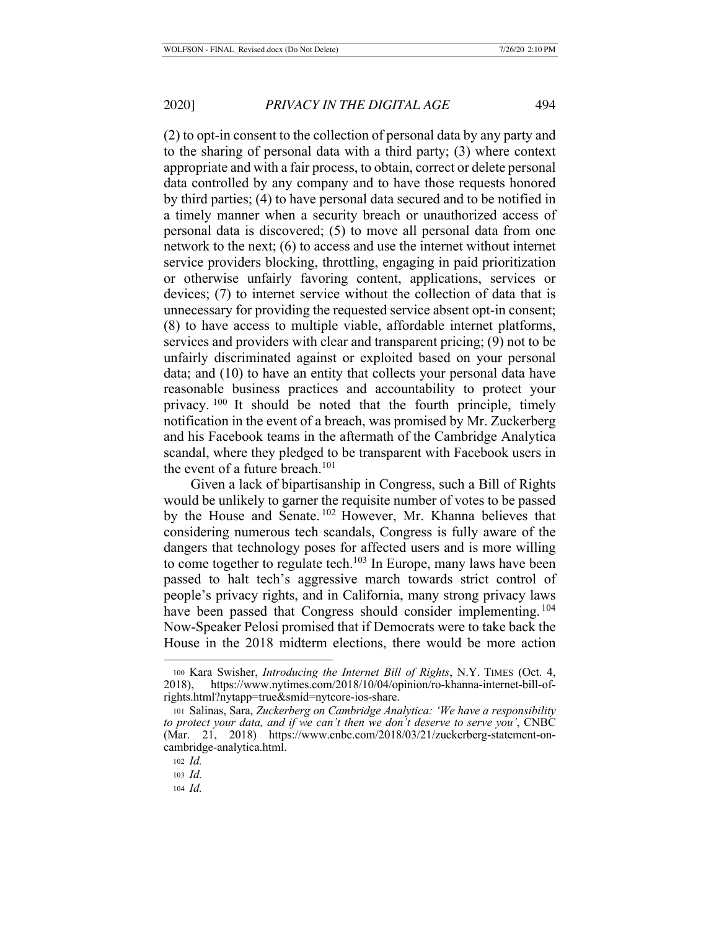(2) to opt-in consent to the collection of personal data by any party and to the sharing of personal data with a third party; (3) where context appropriate and with a fair process, to obtain, correct or delete personal data controlled by any company and to have those requests honored by third parties; (4) to have personal data secured and to be notified in a timely manner when a security breach or unauthorized access of personal data is discovered; (5) to move all personal data from one network to the next; (6) to access and use the internet without internet service providers blocking, throttling, engaging in paid prioritization or otherwise unfairly favoring content, applications, services or devices; (7) to internet service without the collection of data that is unnecessary for providing the requested service absent opt-in consent; (8) to have access to multiple viable, affordable internet platforms, services and providers with clear and transparent pricing; (9) not to be unfairly discriminated against or exploited based on your personal data; and (10) to have an entity that collects your personal data have reasonable business practices and accountability to protect your privacy. 100 It should be noted that the fourth principle, timely notification in the event of a breach, was promised by Mr. Zuckerberg and his Facebook teams in the aftermath of the Cambridge Analytica scandal, where they pledged to be transparent with Facebook users in the event of a future breach.<sup>101</sup>

Given a lack of bipartisanship in Congress, such a Bill of Rights would be unlikely to garner the requisite number of votes to be passed by the House and Senate.<sup>102</sup> However, Mr. Khanna believes that considering numerous tech scandals, Congress is fully aware of the dangers that technology poses for affected users and is more willing to come together to regulate tech.<sup>103</sup> In Europe, many laws have been passed to halt tech's aggressive march towards strict control of people's privacy rights, and in California, many strong privacy laws have been passed that Congress should consider implementing.<sup>104</sup> Now-Speaker Pelosi promised that if Democrats were to take back the House in the 2018 midterm elections, there would be more action

<sup>100</sup> Kara Swisher, *Introducing the Internet Bill of Rights*, N.Y. TIMES (Oct. 4, 2018), https://www.nytimes.com/2018/10/04/opinion/ro-khanna-internet-bill-ofrights.html?nytapp=true&smid=nytcore-ios-share.

<sup>101</sup> Salinas, Sara, *Zuckerberg on Cambridge Analytica: 'We have a responsibility to protect your data, and if we can't then we don't deserve to serve you'*, CNBC (Mar. 21, 2018) https://www.cnbc.com/2018/03/21/zuckerberg-statement-oncambridge-analytica.html.

<sup>102</sup> *Id.* 

<sup>103</sup> *Id.*

<sup>104</sup> *Id.*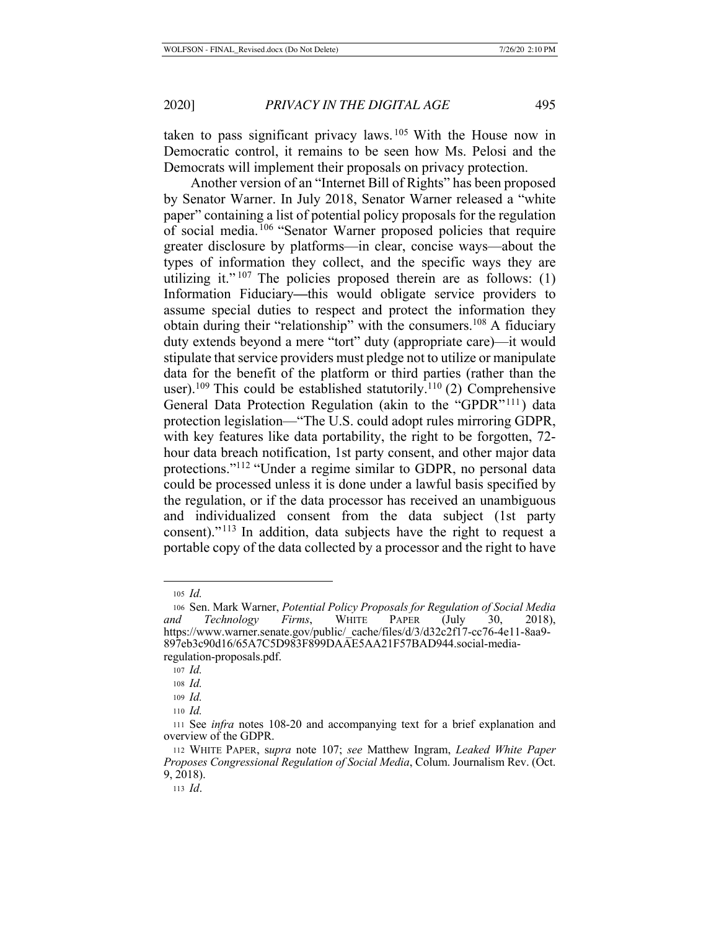taken to pass significant privacy laws. 105 With the House now in Democratic control, it remains to be seen how Ms. Pelosi and the Democrats will implement their proposals on privacy protection.

Another version of an "Internet Bill of Rights" has been proposed by Senator Warner. In July 2018, Senator Warner released a "white paper" containing a list of potential policy proposals for the regulation of social media.106 "Senator Warner proposed policies that require greater disclosure by platforms—in clear, concise ways—about the types of information they collect, and the specific ways they are utilizing it."  $107$  The policies proposed therein are as follows: (1) Information Fiduciary**—**this would obligate service providers to assume special duties to respect and protect the information they obtain during their "relationship" with the consumers.<sup>108</sup> A fiduciary duty extends beyond a mere "tort" duty (appropriate care)—it would stipulate that service providers must pledge not to utilize or manipulate data for the benefit of the platform or third parties (rather than the user).<sup>109</sup> This could be established statutorily.<sup>110</sup> (2) Comprehensive General Data Protection Regulation (akin to the "GPDR"<sup>111</sup>) data protection legislation—"The U.S. could adopt rules mirroring GDPR, with key features like data portability, the right to be forgotten, 72 hour data breach notification, 1st party consent, and other major data protections."112 "Under a regime similar to GDPR, no personal data could be processed unless it is done under a lawful basis specified by the regulation, or if the data processor has received an unambiguous and individualized consent from the data subject (1st party consent)."113 In addition, data subjects have the right to request a portable copy of the data collected by a processor and the right to have

<sup>105</sup> *Id.*

<sup>106</sup> Sen. Mark Warner, *Potential Policy Proposals for Regulation of Social Media and Technology Firms*, WHITE PAPER (July 30, 2018), https://www.warner.senate.gov/public/\_cache/files/d/3/d32c2f17-cc76-4e11-8aa9- 897eb3c90d16/65A7C5D983F899DAAE5AA21F57BAD944.social-mediaregulation-proposals.pdf.

<sup>107</sup> *Id.*

<sup>108</sup> *Id.*

<sup>109</sup> *Id.*

<sup>110</sup> *Id.*

<sup>111</sup> See *infra* notes 108-20 and accompanying text for a brief explanation and overview of the GDPR.

<sup>112</sup> WHITE PAPER, s*upra* note 107; *see* Matthew Ingram, *Leaked White Paper Proposes Congressional Regulation of Social Media*, Colum. Journalism Rev. (Oct. 9, 2018).

<sup>113</sup> *Id*.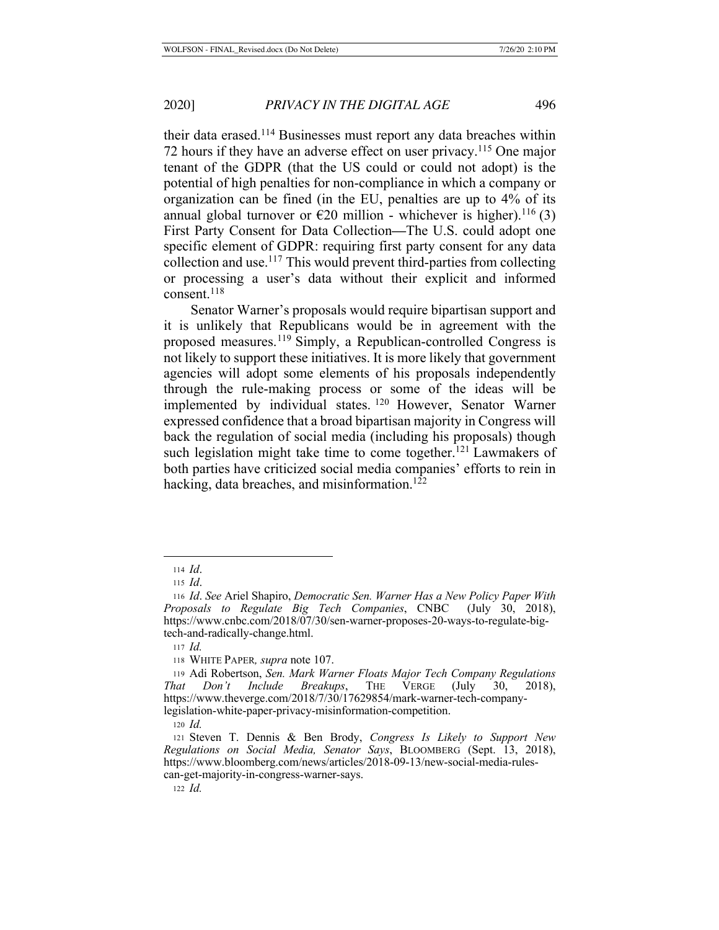their data erased.114 Businesses must report any data breaches within 72 hours if they have an adverse effect on user privacy.<sup>115</sup> One major tenant of the GDPR (that the US could or could not adopt) is the potential of high penalties for non-compliance in which a company or organization can be fined (in the EU, penalties are up to 4% of its annual global turnover or  $\epsilon$ 20 million - whichever is higher).<sup>116</sup> (3) First Party Consent for Data Collection**—**The U.S. could adopt one specific element of GDPR: requiring first party consent for any data collection and use.117 This would prevent third-parties from collecting or processing a user's data without their explicit and informed consent.118

Senator Warner's proposals would require bipartisan support and it is unlikely that Republicans would be in agreement with the proposed measures.119 Simply, a Republican-controlled Congress is not likely to support these initiatives. It is more likely that government agencies will adopt some elements of his proposals independently through the rule-making process or some of the ideas will be implemented by individual states. 120 However, Senator Warner expressed confidence that a broad bipartisan majority in Congress will back the regulation of social media (including his proposals) though such legislation might take time to come together.<sup>121</sup> Lawmakers of both parties have criticized social media companies' efforts to rein in hacking, data breaches, and misinformation.<sup>122</sup>

<sup>114</sup> *Id*.

<sup>115</sup> *Id*.

<sup>116</sup> *Id*. *See* Ariel Shapiro, *Democratic Sen. Warner Has a New Policy Paper With Proposals to Regulate Big Tech Companies*, CNBC (July 30, 2018), https://www.cnbc.com/2018/07/30/sen-warner-proposes-20-ways-to-regulate-bigtech-and-radically-change.html.

<sup>117</sup> *Id.*

<sup>118</sup> WHITE PAPER*, supra* note 107.

<sup>119</sup> Adi Robertson, *Sen. Mark Warner Floats Major Tech Company Regulations That Don't Include Breakups*, THE VERGE (July 30, 2018), https://www.theverge.com/2018/7/30/17629854/mark-warner-tech-companylegislation-white-paper-privacy-misinformation-competition.

<sup>120</sup> *Id.*

<sup>121</sup> Steven T. Dennis & Ben Brody, *Congress Is Likely to Support New Regulations on Social Media, Senator Says*, BLOOMBERG (Sept. 13, 2018), https://www.bloomberg.com/news/articles/2018-09-13/new-social-media-rulescan-get-majority-in-congress-warner-says.

<sup>122</sup> *Id.*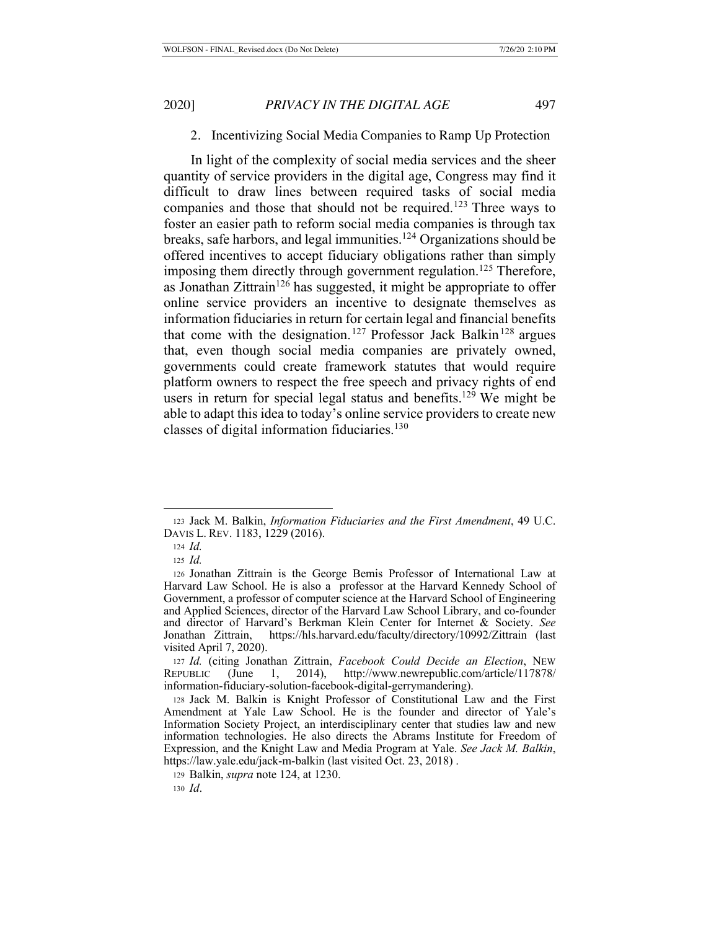### 2. Incentivizing Social Media Companies to Ramp Up Protection

In light of the complexity of social media services and the sheer quantity of service providers in the digital age, Congress may find it difficult to draw lines between required tasks of social media companies and those that should not be required.<sup>123</sup> Three ways to foster an easier path to reform social media companies is through tax breaks, safe harbors, and legal immunities.124 Organizations should be offered incentives to accept fiduciary obligations rather than simply imposing them directly through government regulation.<sup>125</sup> Therefore, as Jonathan Zittrain<sup>126</sup> has suggested, it might be appropriate to offer online service providers an incentive to designate themselves as information fiduciaries in return for certain legal and financial benefits that come with the designation.<sup>127</sup> Professor Jack Balkin<sup>128</sup> argues that, even though social media companies are privately owned, governments could create framework statutes that would require platform owners to respect the free speech and privacy rights of end users in return for special legal status and benefits.<sup>129</sup> We might be able to adapt this idea to today's online service providers to create new classes of digital information fiduciaries.<sup>130</sup>

<sup>123</sup> Jack M. Balkin, *Information Fiduciaries and the First Amendment*, 49 U.C. DAVIS L. REV. 1183, 1229 (2016).

<sup>124</sup> *Id.*

<sup>125</sup> *Id.*

<sup>126</sup> Jonathan Zittrain is the George Bemis Professor of International Law at Harvard Law School. He is also a professor at the Harvard Kennedy School of Government, a professor of computer science at the Harvard School of Engineering and Applied Sciences, director of the Harvard Law School Library, and co-founder and director of Harvard's Berkman Klein Center for Internet & Society. *See*  Jonathan Zittrain, https://hls.harvard.edu/faculty/directory/10992/Zittrain (last visited April 7, 2020).

<sup>127</sup> *Id.* (citing Jonathan Zittrain, *Facebook Could Decide an Election*, NEW REPUBLIC (June 1, 2014), http://www.newrepublic.com/article/117878/ information-fiduciary-solution-facebook-digital-gerrymandering).

<sup>128</sup> Jack M. Balkin is Knight Professor of Constitutional Law and the First Amendment at Yale Law School. He is the founder and director of Yale's Information Society Project, an interdisciplinary center that studies law and new information technologies. He also directs the Abrams Institute for Freedom of Expression, and the Knight Law and Media Program at Yale. *See Jack M. Balkin*, https://law.yale.edu/jack-m-balkin (last visited Oct. 23, 2018) .

<sup>129</sup> Balkin, *supra* note 124, at 1230.

<sup>130</sup> *Id*.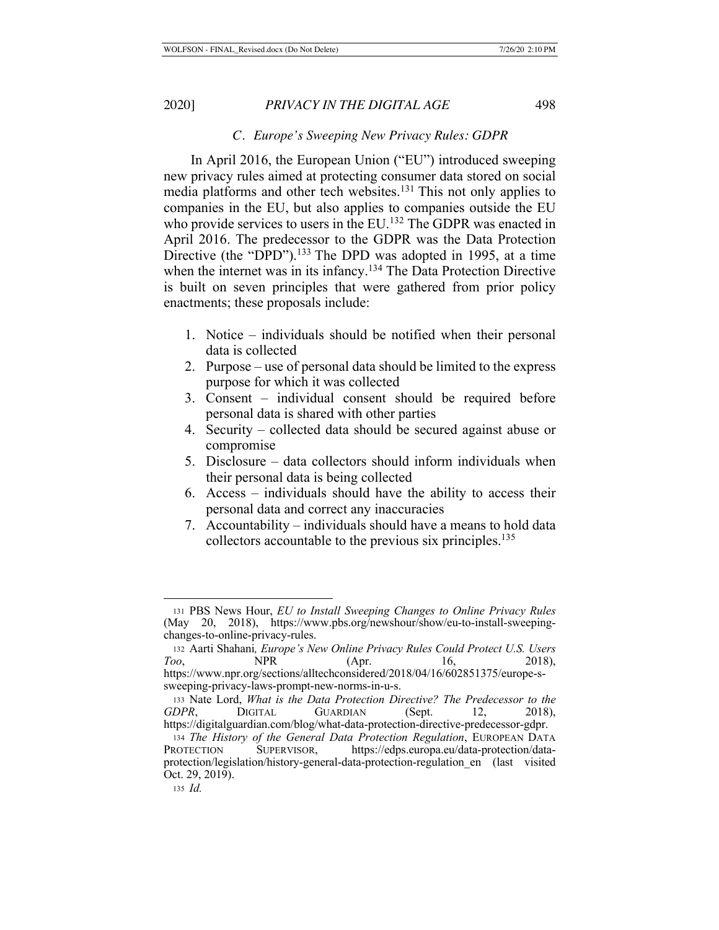### *C. Europe's Sweeping New Privacy Rules: GDPR*

In April 2016, the European Union ("EU") introduced sweeping new privacy rules aimed at protecting consumer data stored on social media platforms and other tech websites.131 This not only applies to companies in the EU, but also applies to companies outside the EU who provide services to users in the EU.<sup>132</sup> The GDPR was enacted in April 2016. The predecessor to the GDPR was the Data Protection Directive (the "DPD").<sup>133</sup> The DPD was adopted in 1995, at a time when the internet was in its infancy.<sup>134</sup> The Data Protection Directive is built on seven principles that were gathered from prior policy enactments; these proposals include:

- 1. Notice individuals should be notified when their personal data is collected
- 2. Purpose use of personal data should be limited to the express purpose for which it was collected
- 3. Consent individual consent should be required before personal data is shared with other parties
- 4. Security collected data should be secured against abuse or compromise
- 5. Disclosure data collectors should inform individuals when their personal data is being collected
- 6. Access individuals should have the ability to access their personal data and correct any inaccuracies
- 7. Accountability individuals should have a means to hold data collectors accountable to the previous six principles.<sup>135</sup>

<sup>131</sup> PBS News Hour, *EU to Install Sweeping Changes to Online Privacy Rules* (May 20, 2018), https://www.pbs.org/newshour/show/eu-to-install-sweepingchanges-to-online-privacy-rules.

<sup>132</sup> Aarti Shahani*, Europe's New Online Privacy Rules Could Protect U.S. Users Too*, **NPR** (Apr. 16, 2018), https://www.npr.org/sections/alltechconsidered/2018/04/16/602851375/europe-ssweeping-privacy-laws-prompt-new-norms-in-u-s.

<sup>133</sup> Nate Lord, *What is the Data Protection Directive? The Predecessor to the GDPR*, DIGITAL GUARDIAN (Sept. 12, 2018), https://digitalguardian.com/blog/what-data-protection-directive-predecessor-gdpr.

<sup>134</sup> *The History of the General Data Protection Regulation*, EUROPEAN DATA PROTECTION SUPERVISOR, https://edps.europa.eu/data-protection/dataprotection/legislation/history-general-data-protection-regulation\_en (last visited Oct. 29, 2019).

<sup>135</sup> *Id.*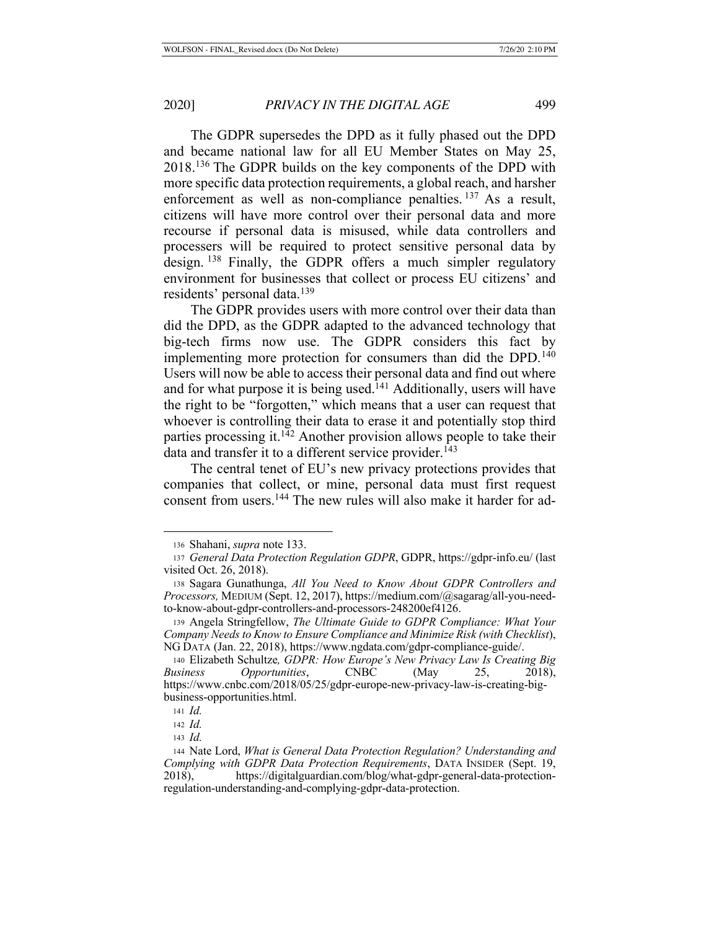The GDPR supersedes the DPD as it fully phased out the DPD and became national law for all EU Member States on May 25, 2018.136 The GDPR builds on the key components of the DPD with more specific data protection requirements, a global reach, and harsher enforcement as well as non-compliance penalties.<sup>137</sup> As a result, citizens will have more control over their personal data and more recourse if personal data is misused, while data controllers and processers will be required to protect sensitive personal data by design. <sup>138</sup> Finally, the GDPR offers a much simpler regulatory environment for businesses that collect or process EU citizens' and residents' personal data.<sup>139</sup>

The GDPR provides users with more control over their data than did the DPD, as the GDPR adapted to the advanced technology that big-tech firms now use. The GDPR considers this fact by implementing more protection for consumers than did the DPD.<sup>140</sup> Users will now be able to access their personal data and find out where and for what purpose it is being used.<sup>141</sup> Additionally, users will have the right to be "forgotten," which means that a user can request that whoever is controlling their data to erase it and potentially stop third parties processing it.<sup>142</sup> Another provision allows people to take their data and transfer it to a different service provider.<sup>143</sup>

The central tenet of EU's new privacy protections provides that companies that collect, or mine, personal data must first request consent from users.144 The new rules will also make it harder for ad-

<sup>136</sup> Shahani, *supra* note 133.

<sup>137</sup> *General Data Protection Regulation GDPR*, GDPR, https://gdpr-info.eu/ (last visited Oct. 26, 2018).

<sup>138</sup> Sagara Gunathunga, *All You Need to Know About GDPR Controllers and Processors,* MEDIUM (Sept. 12, 2017), https://medium.com/@sagarag/all-you-needto-know-about-gdpr-controllers-and-processors-248200ef4126.

<sup>139</sup> Angela Stringfellow, *The Ultimate Guide to GDPR Compliance: What Your Company Needs to Know to Ensure Compliance and Minimize Risk (with Checklist*), NG DATA (Jan. 22, 2018), https://www.ngdata.com/gdpr-compliance-guide/.

<sup>140</sup> Elizabeth Schultze*, GDPR: How Europe's New Privacy Law Is Creating Big Business Opportunities*, CNBC (May 25, 2018), https://www.cnbc.com/2018/05/25/gdpr-europe-new-privacy-law-is-creating-bigbusiness-opportunities.html.

<sup>141</sup> *Id.*

<sup>142</sup> *Id.*

<sup>143</sup> *Id.*

<sup>144</sup> Nate Lord, *What is General Data Protection Regulation? Understanding and Complying with GDPR Data Protection Requirements*, DATA INSIDER (Sept. 19, 2018), https://digitalguardian.com/blog/what-gdpr-general-data-protectionregulation-understanding-and-complying-gdpr-data-protection.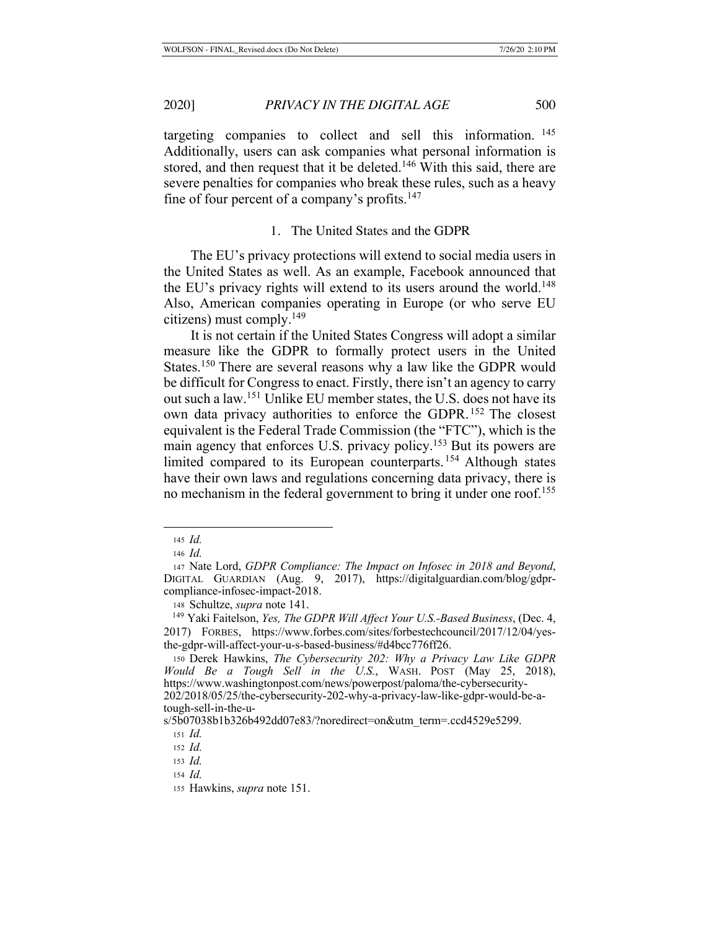targeting companies to collect and sell this information. <sup>145</sup> Additionally, users can ask companies what personal information is stored, and then request that it be deleted.<sup>146</sup> With this said, there are severe penalties for companies who break these rules, such as a heavy fine of four percent of a company's profits.<sup>147</sup>

# 1. The United States and the GDPR

The EU's privacy protections will extend to social media users in the United States as well. As an example, Facebook announced that the EU's privacy rights will extend to its users around the world.<sup>148</sup> Also, American companies operating in Europe (or who serve EU citizens) must comply.149

It is not certain if the United States Congress will adopt a similar measure like the GDPR to formally protect users in the United States.150 There are several reasons why a law like the GDPR would be difficult for Congress to enact. Firstly, there isn't an agency to carry out such a law.151 Unlike EU member states, the U.S. does not have its own data privacy authorities to enforce the GDPR. 152 The closest equivalent is the Federal Trade Commission (the "FTC"), which is the main agency that enforces U.S. privacy policy.<sup>153</sup> But its powers are limited compared to its European counterparts. 154 Although states have their own laws and regulations concerning data privacy, there is no mechanism in the federal government to bring it under one roof.<sup>155</sup>

<sup>148</sup> Schultze, *supra* note 141.

<sup>145</sup> *Id.*

<sup>146</sup> *Id.*

<sup>147</sup> Nate Lord, *GDPR Compliance: The Impact on Infosec in 2018 and Beyond*, DIGITAL GUARDIAN (Aug. 9, 2017), https://digitalguardian.com/blog/gdprcompliance-infosec-impact-2018.

 <sup>149</sup> Yaki Faitelson, *Yes, The GDPR Will Affect Your U.S.-Based Business*, (Dec. 4, 2017) FORBES, https://www.forbes.com/sites/forbestechcouncil/2017/12/04/yesthe-gdpr-will-affect-your-u-s-based-business/#d4bcc776ff26.

<sup>150</sup> Derek Hawkins, *The Cybersecurity 202: Why a Privacy Law Like GDPR Would Be a Tough Sell in the U.S.*, WASH. POST (May 25, 2018), https://www.washingtonpost.com/news/powerpost/paloma/the-cybersecurity-202/2018/05/25/the-cybersecurity-202-why-a-privacy-law-like-gdpr-would-be-atough-sell-in-the-u-

s/5b07038b1b326b492dd07e83/?noredirect=on&utm\_term=.ccd4529e5299.

<sup>151</sup> *Id.*

<sup>152</sup> *Id.*

<sup>153</sup> *Id.*

<sup>154</sup> *Id.*

<sup>155</sup> Hawkins, *supra* note 151.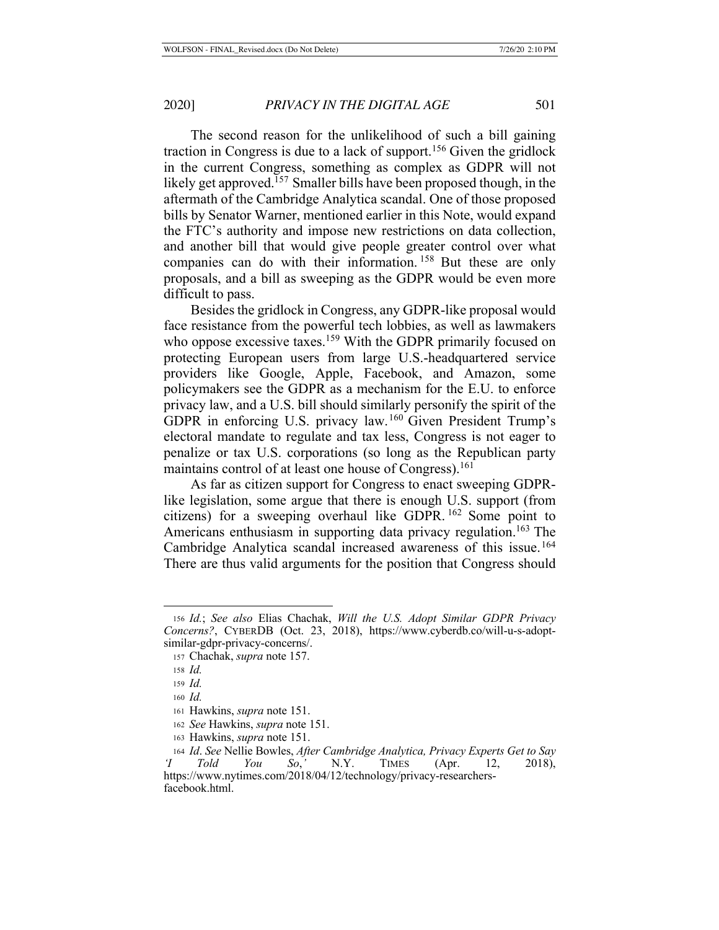The second reason for the unlikelihood of such a bill gaining traction in Congress is due to a lack of support.156 Given the gridlock in the current Congress, something as complex as GDPR will not likely get approved.157 Smaller bills have been proposed though, in the aftermath of the Cambridge Analytica scandal. One of those proposed bills by Senator Warner, mentioned earlier in this Note, would expand the FTC's authority and impose new restrictions on data collection, and another bill that would give people greater control over what companies can do with their information. 158 But these are only proposals, and a bill as sweeping as the GDPR would be even more difficult to pass.

Besides the gridlock in Congress, any GDPR-like proposal would face resistance from the powerful tech lobbies, as well as lawmakers who oppose excessive taxes.<sup>159</sup> With the GDPR primarily focused on protecting European users from large U.S.-headquartered service providers like Google, Apple, Facebook, and Amazon, some policymakers see the GDPR as a mechanism for the E.U. to enforce privacy law, and a U.S. bill should similarly personify the spirit of the GDPR in enforcing U.S. privacy law.160 Given President Trump's electoral mandate to regulate and tax less, Congress is not eager to penalize or tax U.S. corporations (so long as the Republican party maintains control of at least one house of Congress).<sup>161</sup>

As far as citizen support for Congress to enact sweeping GDPRlike legislation, some argue that there is enough U.S. support (from citizens) for a sweeping overhaul like GDPR. 162 Some point to Americans enthusiasm in supporting data privacy regulation.<sup>163</sup> The Cambridge Analytica scandal increased awareness of this issue.<sup>164</sup> There are thus valid arguments for the position that Congress should

<sup>156</sup> *Id.*; *See also* Elias Chachak, *Will the U.S. Adopt Similar GDPR Privacy Concerns?*, CYBERDB (Oct. 23, 2018), https://www.cyberdb.co/will-u-s-adoptsimilar-gdpr-privacy-concerns/.

<sup>157</sup> Chachak, *supra* note 157.

<sup>158</sup> *Id.*

<sup>159</sup> *Id.*

<sup>160</sup> *Id.*

<sup>161</sup> Hawkins, *supra* note 151.

<sup>162</sup> *See* Hawkins, *supra* note 151.

<sup>163</sup> Hawkins, *supra* note 151.

<sup>164</sup> *Id*. *See* Nellie Bowles, *After Cambridge Analytica, Privacy Experts Get to Say 'I Told You So*,*'* N.Y. TIMES (Apr. 12, 2018), https://www.nytimes.com/2018/04/12/technology/privacy-researchersfacebook.html.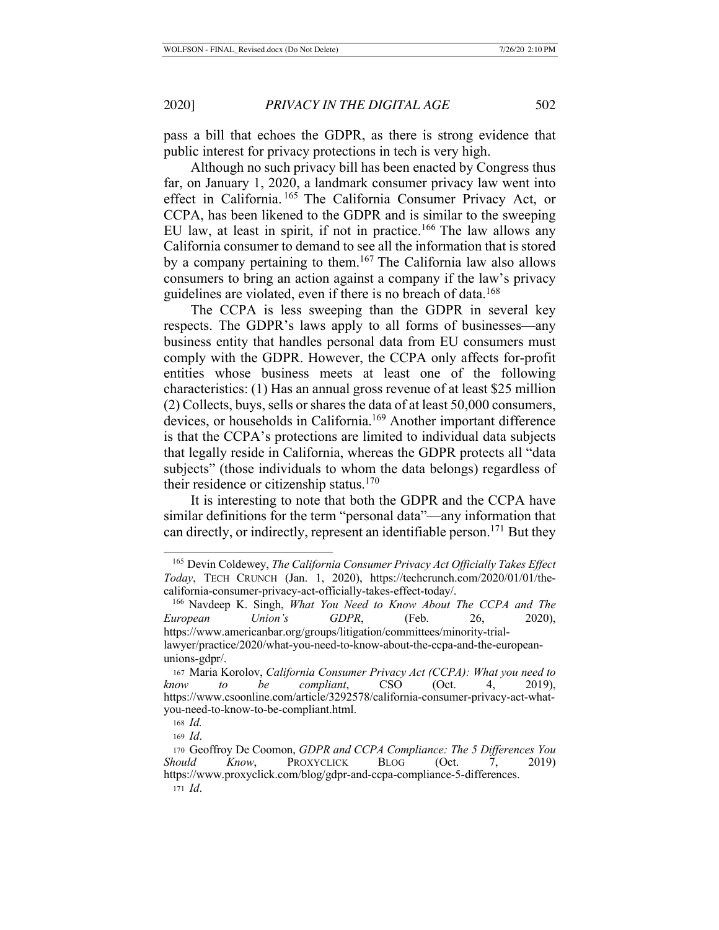pass a bill that echoes the GDPR, as there is strong evidence that public interest for privacy protections in tech is very high.

Although no such privacy bill has been enacted by Congress thus far, on January 1, 2020, a landmark consumer privacy law went into effect in California. 165 The California Consumer Privacy Act, or CCPA, has been likened to the GDPR and is similar to the sweeping EU law, at least in spirit, if not in practice.<sup>166</sup> The law allows any California consumer to demand to see all the information that is stored by a company pertaining to them.167 The California law also allows consumers to bring an action against a company if the law's privacy guidelines are violated, even if there is no breach of data.<sup>168</sup>

The CCPA is less sweeping than the GDPR in several key respects. The GDPR's laws apply to all forms of businesses—any business entity that handles personal data from EU consumers must comply with the GDPR. However, the CCPA only affects for-profit entities whose business meets at least one of the following characteristics: (1) Has an annual gross revenue of at least \$25 million (2) Collects, buys, sells or shares the data of at least 50,000 consumers, devices, or households in California.<sup>169</sup> Another important difference is that the CCPA's protections are limited to individual data subjects that legally reside in California, whereas the GDPR protects all "data subjects" (those individuals to whom the data belongs) regardless of their residence or citizenship status. $170$ 

It is interesting to note that both the GDPR and the CCPA have similar definitions for the term "personal data"—any information that can directly, or indirectly, represent an identifiable person.<sup>171</sup> But they

 <sup>165</sup> Devin Coldewey, *The California Consumer Privacy Act Officially Takes Effect Today*, TECH CRUNCH (Jan. 1, 2020), https://techcrunch.com/2020/01/01/thecalifornia-consumer-privacy-act-officially-takes-effect-today/.

 <sup>166</sup> Navdeep K. Singh, *What You Need to Know About The CCPA and The European Union's GDPR*, (Feb. 26, 2020), https://www.americanbar.org/groups/litigation/committees/minority-triallawyer/practice/2020/what-you-need-to-know-about-the-ccpa-and-the-europeanunions-gdpr/.

<sup>167</sup> Maria Korolov, *California Consumer Privacy Act (CCPA): What you need to know to be compliant*, CSO (Oct. 4, 2019), https://www.csoonline.com/article/3292578/california-consumer-privacy-act-whatyou-need-to-know-to-be-compliant.html.

<sup>168</sup> *Id.*

<sup>169</sup> *Id*.

<sup>170</sup> Geoffroy De Coomon, *GDPR and CCPA Compliance: The 5 Differences You Should Know*, PROXYCLICK BLOG (Oct. 7, 2019) https://www.proxyclick.com/blog/gdpr-and-ccpa-compliance-5-differences. <sup>171</sup> *Id*.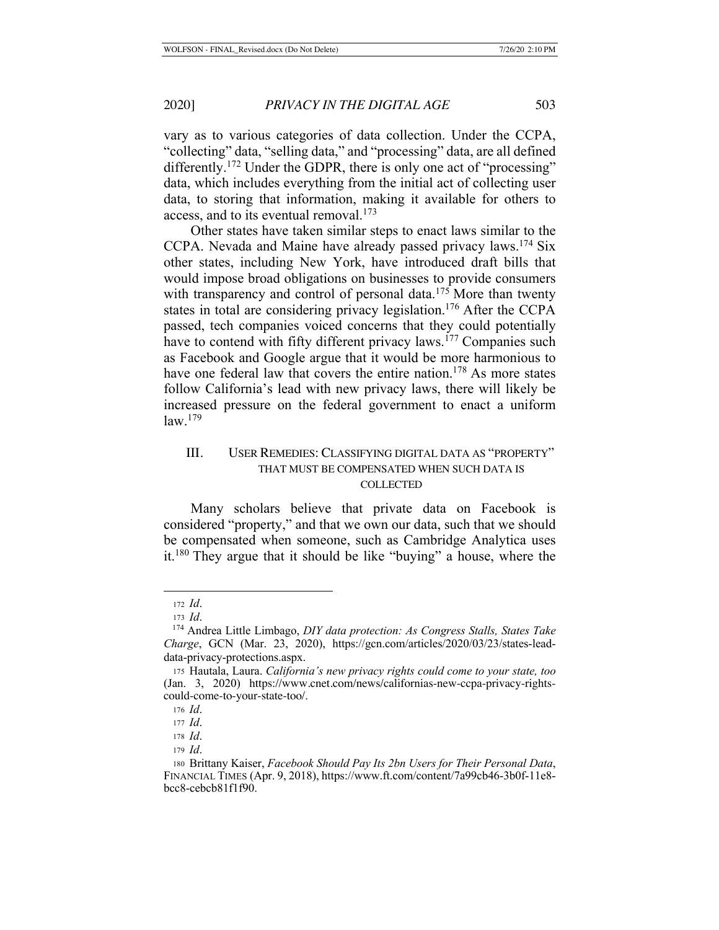vary as to various categories of data collection. Under the CCPA, "collecting" data, "selling data," and "processing" data, are all defined differently.<sup>172</sup> Under the GDPR, there is only one act of "processing" data, which includes everything from the initial act of collecting user data, to storing that information, making it available for others to access, and to its eventual removal.<sup>173</sup>

Other states have taken similar steps to enact laws similar to the CCPA. Nevada and Maine have already passed privacy laws.174 Six other states, including New York, have introduced draft bills that would impose broad obligations on businesses to provide consumers with transparency and control of personal data.<sup>175</sup> More than twenty states in total are considering privacy legislation.176 After the CCPA passed, tech companies voiced concerns that they could potentially have to contend with fifty different privacy laws.<sup>177</sup> Companies such as Facebook and Google argue that it would be more harmonious to have one federal law that covers the entire nation.<sup>178</sup> As more states follow California's lead with new privacy laws, there will likely be increased pressure on the federal government to enact a uniform law.179

## III. USER REMEDIES: CLASSIFYING DIGITAL DATA AS "PROPERTY" THAT MUST BE COMPENSATED WHEN SUCH DATA IS **COLLECTED**

Many scholars believe that private data on Facebook is considered "property," and that we own our data, such that we should be compensated when someone, such as Cambridge Analytica uses it.180 They argue that it should be like "buying" a house, where the

<sup>172</sup> *Id*.

<sup>173</sup> *Id*.

 <sup>174</sup> Andrea Little Limbago, *DIY data protection: As Congress Stalls, States Take Charge*, GCN (Mar. 23, 2020), https://gcn.com/articles/2020/03/23/states-leaddata-privacy-protections.aspx.

<sup>175</sup> Hautala, Laura. *California's new privacy rights could come to your state, too* (Jan. 3, 2020) https://www.cnet.com/news/californias-new-ccpa-privacy-rightscould-come-to-your-state-too/.

<sup>176</sup> *Id*.

<sup>177</sup> *Id*.

<sup>178</sup> *Id*.

<sup>179</sup> *Id*.

<sup>180</sup> Brittany Kaiser, *Facebook Should Pay Its 2bn Users for Their Personal Data*, FINANCIAL TIMES (Apr. 9, 2018), https://www.ft.com/content/7a99cb46-3b0f-11e8 bcc8-cebcb81f1f90.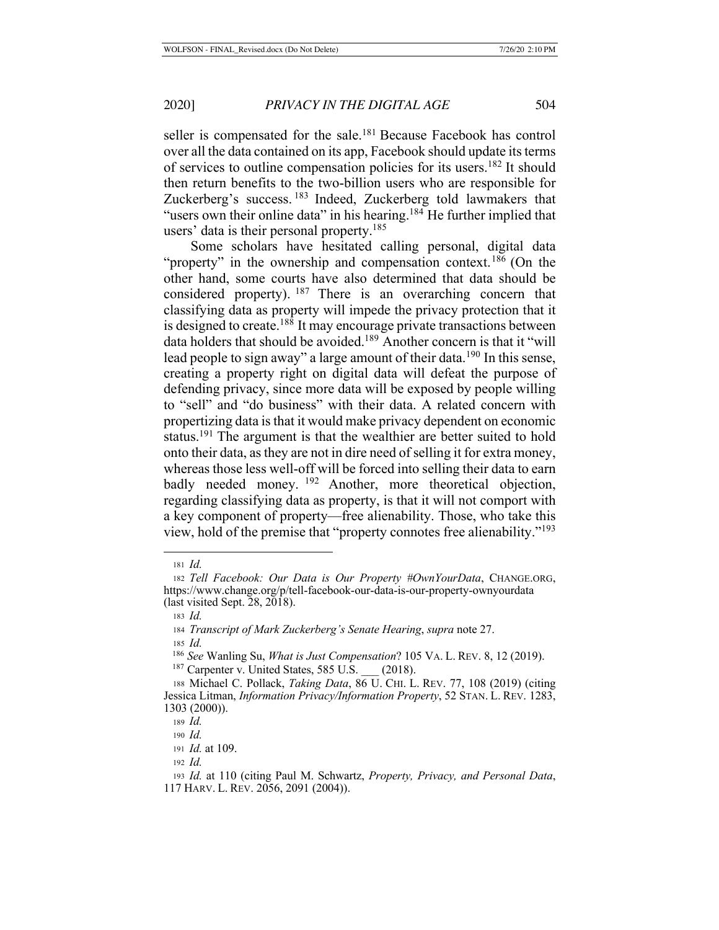seller is compensated for the sale.<sup>181</sup> Because Facebook has control over all the data contained on its app, Facebook should update its terms of services to outline compensation policies for its users.182 It should then return benefits to the two-billion users who are responsible for Zuckerberg's success. 183 Indeed, Zuckerberg told lawmakers that "users own their online data" in his hearing.<sup>184</sup> He further implied that users' data is their personal property.<sup>185</sup>

Some scholars have hesitated calling personal, digital data "property" in the ownership and compensation context.<sup>186</sup> (On the other hand, some courts have also determined that data should be considered property).  $187$  There is an overarching concern that classifying data as property will impede the privacy protection that it is designed to create.<sup>188</sup> It may encourage private transactions between data holders that should be avoided.<sup>189</sup> Another concern is that it "will lead people to sign away" a large amount of their data.<sup>190</sup> In this sense, creating a property right on digital data will defeat the purpose of defending privacy, since more data will be exposed by people willing to "sell" and "do business" with their data. A related concern with propertizing data is that it would make privacy dependent on economic status.<sup>191</sup> The argument is that the wealthier are better suited to hold onto their data, as they are not in dire need of selling it for extra money, whereas those less well-off will be forced into selling their data to earn badly needed money. <sup>192</sup> Another, more theoretical objection, regarding classifying data as property, is that it will not comport with a key component of property—free alienability. Those, who take this view, hold of the premise that "property connotes free alienability."193

<sup>181</sup> *Id.*

<sup>182</sup> *Tell Facebook: Our Data is Our Property #OwnYourData*, CHANGE.ORG, https://www.change.org/p/tell-facebook-our-data-is-our-property-ownyourdata (last visited Sept. 28, 2018).

<sup>183</sup> *Id.*

<sup>184</sup> *Transcript of Mark Zuckerberg's Senate Hearing*, *supra* note 27.

<sup>185</sup> *Id.*

 <sup>186</sup> *See* Wanling Su, *What is Just Compensation*? 105 VA. L. REV. 8, 12 (2019).

<sup>&</sup>lt;sup>187</sup> Carpenter v. United States, 585 U.S. \_\_\_ (2018).

<sup>188</sup> Michael C. Pollack, *Taking Data*, 86 U. CHI. L. REV. 77, 108 (2019) (citing Jessica Litman, *Information Privacy/Information Property*, 52 STAN. L. REV. 1283, 1303 (2000)).

<sup>189</sup> *Id.* <sup>190</sup> *Id.*

<sup>191</sup> *Id.* at 109.

<sup>192</sup> *Id.*

<sup>193</sup> *Id.* at 110 (citing Paul M. Schwartz, *Property, Privacy, and Personal Data*, 117 HARV. L. REV. 2056, 2091 (2004)).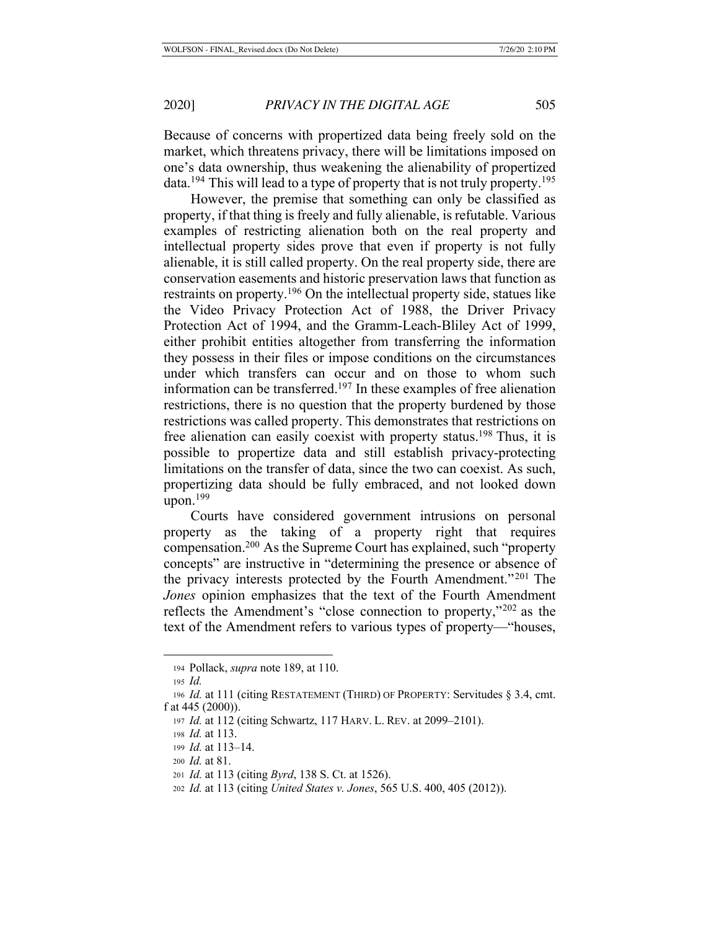Because of concerns with propertized data being freely sold on the market, which threatens privacy, there will be limitations imposed on one's data ownership, thus weakening the alienability of propertized data.<sup>194</sup> This will lead to a type of property that is not truly property.<sup>195</sup>

However, the premise that something can only be classified as property, if that thing is freely and fully alienable, is refutable. Various examples of restricting alienation both on the real property and intellectual property sides prove that even if property is not fully alienable, it is still called property. On the real property side, there are conservation easements and historic preservation laws that function as restraints on property.<sup>196</sup> On the intellectual property side, statues like the Video Privacy Protection Act of 1988, the Driver Privacy Protection Act of 1994, and the Gramm-Leach-Bliley Act of 1999, either prohibit entities altogether from transferring the information they possess in their files or impose conditions on the circumstances under which transfers can occur and on those to whom such information can be transferred.197 In these examples of free alienation restrictions, there is no question that the property burdened by those restrictions was called property. This demonstrates that restrictions on free alienation can easily coexist with property status.<sup>198</sup> Thus, it is possible to propertize data and still establish privacy-protecting limitations on the transfer of data, since the two can coexist. As such, propertizing data should be fully embraced, and not looked down upon. $199$ 

Courts have considered government intrusions on personal property as the taking of a property right that requires compensation.200 As the Supreme Court has explained, such "property concepts" are instructive in "determining the presence or absence of the privacy interests protected by the Fourth Amendment."201 The *Jones* opinion emphasizes that the text of the Fourth Amendment reflects the Amendment's "close connection to property,"202 as the text of the Amendment refers to various types of property—"houses,

<sup>194</sup> Pollack, *supra* note 189, at 110.

<sup>195</sup> *Id.*

<sup>196</sup> *Id.* at 111 (citing RESTATEMENT (THIRD) OF PROPERTY: Servitudes § 3.4, cmt. f at 445 (2000)).

<sup>197</sup> *Id.* at 112 (citing Schwartz, 117 HARV. L. REV. at 2099–2101).

<sup>198</sup> *Id.* at 113.

<sup>199</sup> *Id.* at 113–14.

<sup>200</sup> *Id.* at 81.

<sup>201</sup> *Id.* at 113 (citing *Byrd*, 138 S. Ct. at 1526).

<sup>202</sup> *Id.* at 113 (citing *United States v. Jones*, 565 U.S. 400, 405 (2012)).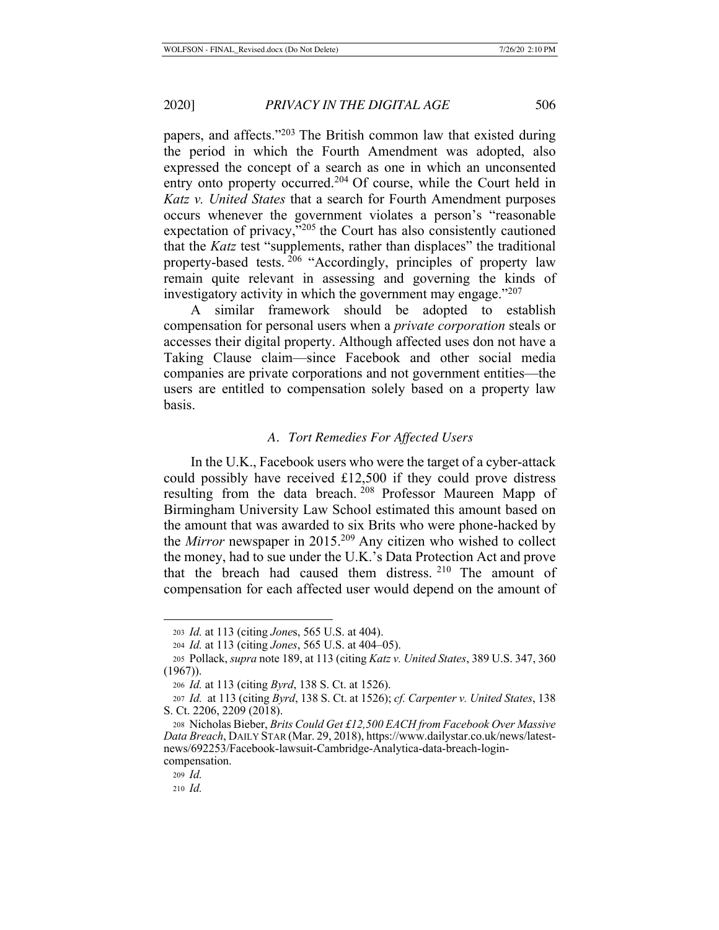papers, and affects."203 The British common law that existed during the period in which the Fourth Amendment was adopted, also expressed the concept of a search as one in which an unconsented entry onto property occurred.<sup>204</sup> Of course, while the Court held in *Katz v. United States* that a search for Fourth Amendment purposes occurs whenever the government violates a person's "reasonable expectation of privacy, $\frac{1}{205}$  the Court has also consistently cautioned that the *Katz* test "supplements, rather than displaces" the traditional property-based tests. 206 "Accordingly, principles of property law remain quite relevant in assessing and governing the kinds of investigatory activity in which the government may engage. $"207$ 

A similar framework should be adopted to establish compensation for personal users when a *private corporation* steals or accesses their digital property. Although affected uses don not have a Taking Clause claim—since Facebook and other social media companies are private corporations and not government entities—the users are entitled to compensation solely based on a property law basis.

### *A. Tort Remedies For Affected Users*

In the U.K., Facebook users who were the target of a cyber-attack could possibly have received £12,500 if they could prove distress resulting from the data breach. 208 Professor Maureen Mapp of Birmingham University Law School estimated this amount based on the amount that was awarded to six Brits who were phone-hacked by the *Mirror* newspaper in 2015.209 Any citizen who wished to collect the money, had to sue under the U.K.'s Data Protection Act and prove that the breach had caused them distress. 210 The amount of compensation for each affected user would depend on the amount of

<sup>203</sup> *Id.* at 113 (citing *Jone*s, 565 U.S. at 404).

<sup>204</sup> *Id.* at 113 (citing *Jones*, 565 U.S. at 404–05).

<sup>205</sup> Pollack, *supra* note 189, at 113 (citing *Katz v. United States*, 389 U.S. 347, 360 (1967)).

<sup>206</sup> *Id.* at 113 (citing *Byrd*, 138 S. Ct. at 1526).

<sup>207</sup> *Id.* at 113 (citing *Byrd*, 138 S. Ct. at 1526); *cf. Carpenter v. United States*, 138 S. Ct. 2206, 2209 (2018).

<sup>208</sup> Nicholas Bieber, *Brits Could Get £12,500 EACH from Facebook Over Massive Data Breach*, DAILY STAR (Mar. 29, 2018), https://www.dailystar.co.uk/news/latestnews/692253/Facebook-lawsuit-Cambridge-Analytica-data-breach-logincompensation.

<sup>209</sup> *Id.*

<sup>210</sup> *Id.*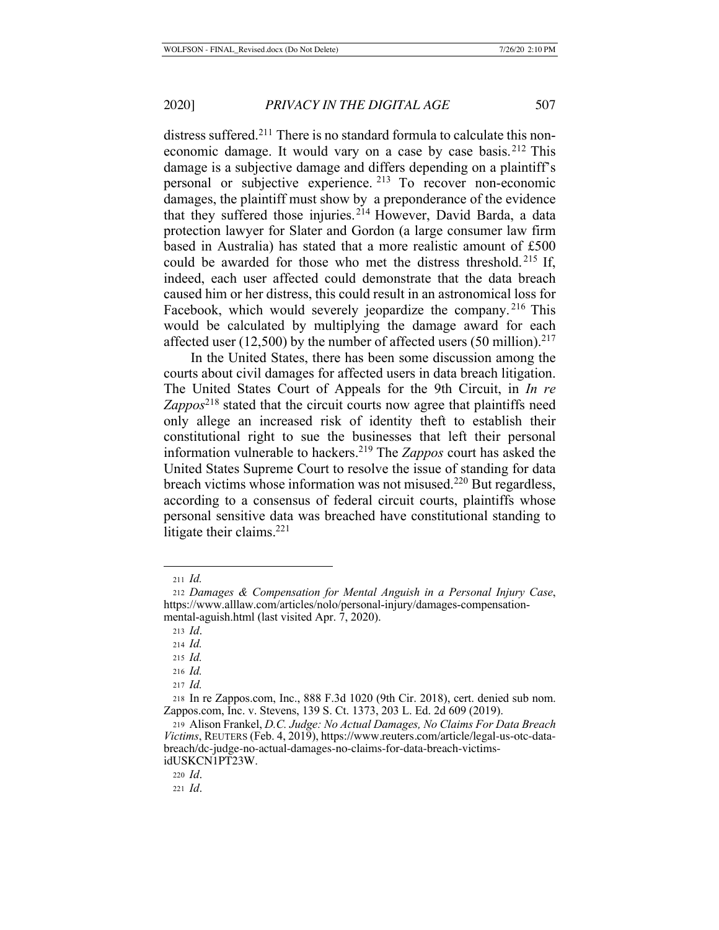distress suffered.<sup>211</sup> There is no standard formula to calculate this noneconomic damage. It would vary on a case by case basis.<sup>212</sup> This damage is a subjective damage and differs depending on a plaintiff's personal or subjective experience. 213 To recover non-economic damages, the plaintiff must show by a preponderance of the evidence that they suffered those injuries.<sup>214</sup> However, David Barda, a data protection lawyer for Slater and Gordon (a large consumer law firm based in Australia) has stated that a more realistic amount of £500 could be awarded for those who met the distress threshold. 215 If, indeed, each user affected could demonstrate that the data breach caused him or her distress, this could result in an astronomical loss for Facebook, which would severely jeopardize the company.<sup>216</sup> This would be calculated by multiplying the damage award for each affected user (12,500) by the number of affected users (50 million).<sup>217</sup>

In the United States, there has been some discussion among the courts about civil damages for affected users in data breach litigation. The United States Court of Appeals for the 9th Circuit, in *In re Zappos*218 stated that the circuit courts now agree that plaintiffs need only allege an increased risk of identity theft to establish their constitutional right to sue the businesses that left their personal information vulnerable to hackers.219 The *Zappos* court has asked the United States Supreme Court to resolve the issue of standing for data breach victims whose information was not misused.<sup>220</sup> But regardless, according to a consensus of federal circuit courts, plaintiffs whose personal sensitive data was breached have constitutional standing to litigate their claims.<sup>221</sup>

<sup>220</sup> *Id*.

<sup>211</sup> *Id.*

<sup>212</sup> *Damages & Compensation for Mental Anguish in a Personal Injury Case*, https://www.alllaw.com/articles/nolo/personal-injury/damages-compensationmental-aguish.html (last visited Apr. 7, 2020).

<sup>213</sup> *Id*.

<sup>214</sup> *Id.*

<sup>215</sup> *Id.*

<sup>216</sup> *Id.* 

<sup>217</sup> *Id.* 

<sup>218</sup> In re Zappos.com, Inc., 888 F.3d 1020 (9th Cir. 2018), cert. denied sub nom. Zappos.com, Inc. v. Stevens, 139 S. Ct. 1373, 203 L. Ed. 2d 609 (2019).

<sup>219</sup> Alison Frankel, *D.C. Judge: No Actual Damages, No Claims For Data Breach Victims*, REUTERS (Feb. 4, 2019), https://www.reuters.com/article/legal-us-otc-databreach/dc-judge-no-actual-damages-no-claims-for-data-breach-victimsidUSKCN1PT23W.

<sup>221</sup> *Id*.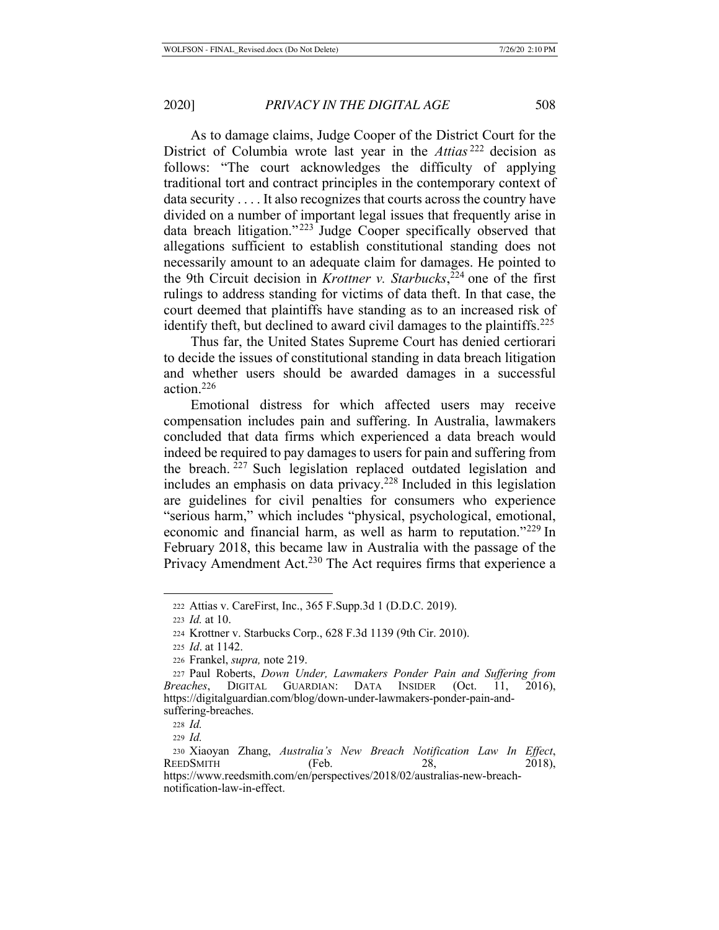As to damage claims, Judge Cooper of the District Court for the District of Columbia wrote last year in the *Attias* 222 decision as follows: "The court acknowledges the difficulty of applying traditional tort and contract principles in the contemporary context of data security . . . . It also recognizes that courts across the country have divided on a number of important legal issues that frequently arise in data breach litigation."<sup>223</sup> Judge Cooper specifically observed that allegations sufficient to establish constitutional standing does not necessarily amount to an adequate claim for damages. He pointed to the 9th Circuit decision in *Krottner v. Starbucks*, 224 one of the first rulings to address standing for victims of data theft. In that case, the court deemed that plaintiffs have standing as to an increased risk of identify theft, but declined to award civil damages to the plaintiffs.<sup>225</sup>

Thus far, the United States Supreme Court has denied certiorari to decide the issues of constitutional standing in data breach litigation and whether users should be awarded damages in a successful action.226

Emotional distress for which affected users may receive compensation includes pain and suffering. In Australia, lawmakers concluded that data firms which experienced a data breach would indeed be required to pay damages to users for pain and suffering from the breach. <sup>227</sup> Such legislation replaced outdated legislation and includes an emphasis on data privacy.<sup>228</sup> Included in this legislation are guidelines for civil penalties for consumers who experience "serious harm," which includes "physical, psychological, emotional, economic and financial harm, as well as harm to reputation."229 In February 2018, this became law in Australia with the passage of the Privacy Amendment Act.<sup>230</sup> The Act requires firms that experience a

<sup>222</sup> Attias v. CareFirst, Inc., 365 F.Supp.3d 1 (D.D.C. 2019).

<sup>223</sup> *Id.* at 10.

<sup>224</sup> Krottner v. Starbucks Corp., 628 F.3d 1139 (9th Cir. 2010).

<sup>225</sup> *Id*. at 1142.

<sup>226</sup> Frankel, *supra,* note 219.

<sup>227</sup> Paul Roberts, *Down Under, Lawmakers Ponder Pain and Suffering from Breaches*, DIGITAL GUARDIAN: DATA INSIDER (Oct. 11, 2016), https://digitalguardian.com/blog/down-under-lawmakers-ponder-pain-andsuffering-breaches.

<sup>228</sup> *Id.*

<sup>229</sup> *Id.*

<sup>230</sup> Xiaoyan Zhang, *Australia's New Breach Notification Law In Effect*, REEDSMITH (Feb. 28, 2018), https://www.reedsmith.com/en/perspectives/2018/02/australias-new-breachnotification-law-in-effect.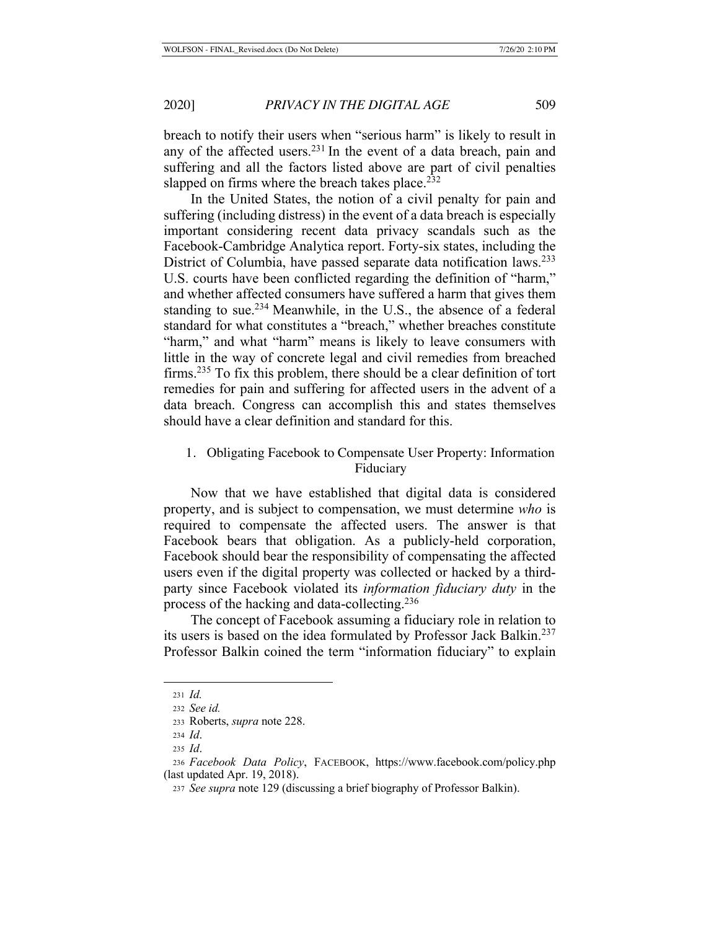breach to notify their users when "serious harm" is likely to result in any of the affected users.<sup>231</sup> In the event of a data breach, pain and suffering and all the factors listed above are part of civil penalties slapped on firms where the breach takes place. $232$ 

In the United States, the notion of a civil penalty for pain and suffering (including distress) in the event of a data breach is especially important considering recent data privacy scandals such as the Facebook-Cambridge Analytica report. Forty-six states, including the District of Columbia, have passed separate data notification laws.<sup>233</sup> U.S. courts have been conflicted regarding the definition of "harm," and whether affected consumers have suffered a harm that gives them standing to sue.<sup>234</sup> Meanwhile, in the U.S., the absence of a federal standard for what constitutes a "breach," whether breaches constitute "harm," and what "harm" means is likely to leave consumers with little in the way of concrete legal and civil remedies from breached firms.235 To fix this problem, there should be a clear definition of tort remedies for pain and suffering for affected users in the advent of a data breach. Congress can accomplish this and states themselves should have a clear definition and standard for this.

# 1. Obligating Facebook to Compensate User Property: Information Fiduciary

Now that we have established that digital data is considered property, and is subject to compensation, we must determine *who* is required to compensate the affected users. The answer is that Facebook bears that obligation. As a publicly-held corporation, Facebook should bear the responsibility of compensating the affected users even if the digital property was collected or hacked by a thirdparty since Facebook violated its *information fiduciary duty* in the process of the hacking and data-collecting.<sup>236</sup>

The concept of Facebook assuming a fiduciary role in relation to its users is based on the idea formulated by Professor Jack Balkin.237 Professor Balkin coined the term "information fiduciary" to explain

<sup>231</sup> *Id.*

<sup>232</sup> *See id.*

<sup>233</sup> Roberts, *supra* note 228.

<sup>234</sup> *Id*.

<sup>235</sup> *Id*.

<sup>236</sup> *Facebook Data Policy*, FACEBOOK, https://www.facebook.com/policy.php (last updated Apr. 19, 2018).

<sup>237</sup> *See supra* note 129 (discussing a brief biography of Professor Balkin).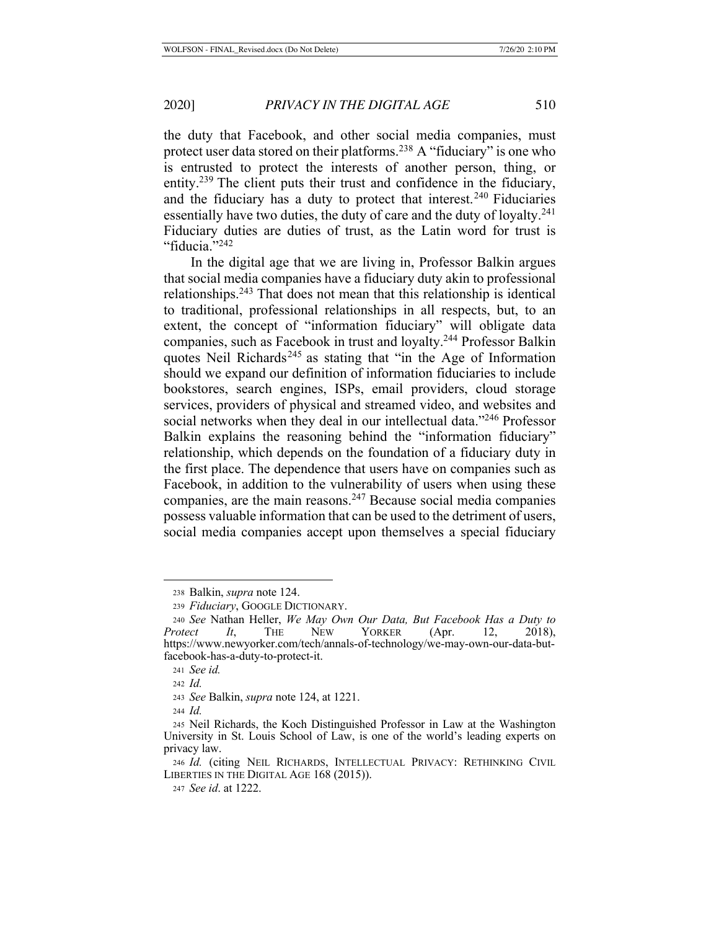the duty that Facebook, and other social media companies, must protect user data stored on their platforms.238 A "fiduciary" is one who is entrusted to protect the interests of another person, thing, or entity.<sup>239</sup> The client puts their trust and confidence in the fiduciary, and the fiduciary has a duty to protect that interest.<sup>240</sup> Fiduciaries essentially have two duties, the duty of care and the duty of loyalty. $241$ Fiduciary duties are duties of trust, as the Latin word for trust is "fiducia."<sup>242</sup>

In the digital age that we are living in, Professor Balkin argues that social media companies have a fiduciary duty akin to professional relationships.243 That does not mean that this relationship is identical to traditional, professional relationships in all respects, but, to an extent, the concept of "information fiduciary" will obligate data companies, such as Facebook in trust and loyalty.244 Professor Balkin quotes Neil Richards<sup>245</sup> as stating that "in the Age of Information" should we expand our definition of information fiduciaries to include bookstores, search engines, ISPs, email providers, cloud storage services, providers of physical and streamed video, and websites and social networks when they deal in our intellectual data."246 Professor Balkin explains the reasoning behind the "information fiduciary" relationship, which depends on the foundation of a fiduciary duty in the first place. The dependence that users have on companies such as Facebook, in addition to the vulnerability of users when using these companies, are the main reasons.247 Because social media companies possess valuable information that can be used to the detriment of users, social media companies accept upon themselves a special fiduciary

<sup>244</sup> *Id.*

<sup>238</sup> Balkin, *supra* note 124.

<sup>239</sup> *Fiduciary*, GOOGLE DICTIONARY.

<sup>240</sup> *See* Nathan Heller, *We May Own Our Data, But Facebook Has a Duty to Protect It*, THE NEW YORKER (Apr. 12, 2018), https://www.newyorker.com/tech/annals-of-technology/we-may-own-our-data-butfacebook-has-a-duty-to-protect-it.

<sup>241</sup> *See id.*

<sup>242</sup> *Id.*

<sup>243</sup> *See* Balkin, *supra* note 124, at 1221.

<sup>245</sup> Neil Richards, the Koch Distinguished Professor in Law at the Washington University in St. Louis School of Law, is one of the world's leading experts on privacy law.

<sup>246</sup> *Id.* (citing NEIL RICHARDS, INTELLECTUAL PRIVACY: RETHINKING CIVIL LIBERTIES IN THE DIGITAL AGE 168 (2015)).

<sup>247</sup> *See id*. at 1222.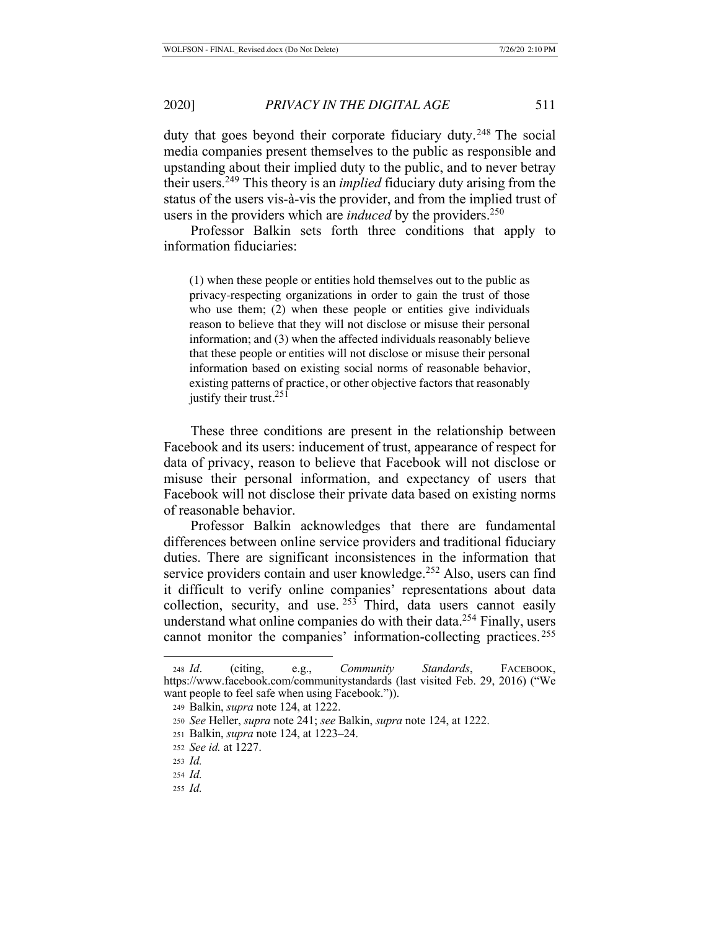duty that goes beyond their corporate fiduciary duty.<sup>248</sup> The social media companies present themselves to the public as responsible and upstanding about their implied duty to the public, and to never betray their users.249 This theory is an *implied* fiduciary duty arising from the status of the users vis-à-vis the provider, and from the implied trust of users in the providers which are *induced* by the providers.<sup>250</sup>

Professor Balkin sets forth three conditions that apply to information fiduciaries:

(1) when these people or entities hold themselves out to the public as privacy-respecting organizations in order to gain the trust of those who use them; (2) when these people or entities give individuals reason to believe that they will not disclose or misuse their personal information; and (3) when the affected individuals reasonably believe that these people or entities will not disclose or misuse their personal information based on existing social norms of reasonable behavior, existing patterns of practice, or other objective factors that reasonably justify their trust. $251$ 

These three conditions are present in the relationship between Facebook and its users: inducement of trust, appearance of respect for data of privacy, reason to believe that Facebook will not disclose or misuse their personal information, and expectancy of users that Facebook will not disclose their private data based on existing norms of reasonable behavior.

Professor Balkin acknowledges that there are fundamental differences between online service providers and traditional fiduciary duties. There are significant inconsistences in the information that service providers contain and user knowledge.<sup>252</sup> Also, users can find it difficult to verify online companies' representations about data collection, security, and use  $253$  Third, data users cannot easily understand what online companies do with their data.<sup>254</sup> Finally, users cannot monitor the companies' information-collecting practices. <sup>255</sup>

<sup>248</sup> *Id*. (citing, e.g., *Community Standards*, FACEBOOK, https://www.facebook.com/communitystandards (last visited Feb. 29, 2016) ("We want people to feel safe when using Facebook.")).

<sup>249</sup> Balkin, *supra* note 124, at 1222.

<sup>250</sup> *See* Heller, *supra* note 241; *see* Balkin, *supra* note 124, at 1222.

<sup>251</sup> Balkin, *supra* note 124, at 1223–24.

<sup>252</sup> *See id.* at 1227.

<sup>253</sup> *Id.*

<sup>254</sup> *Id.*

<sup>255</sup> *Id.*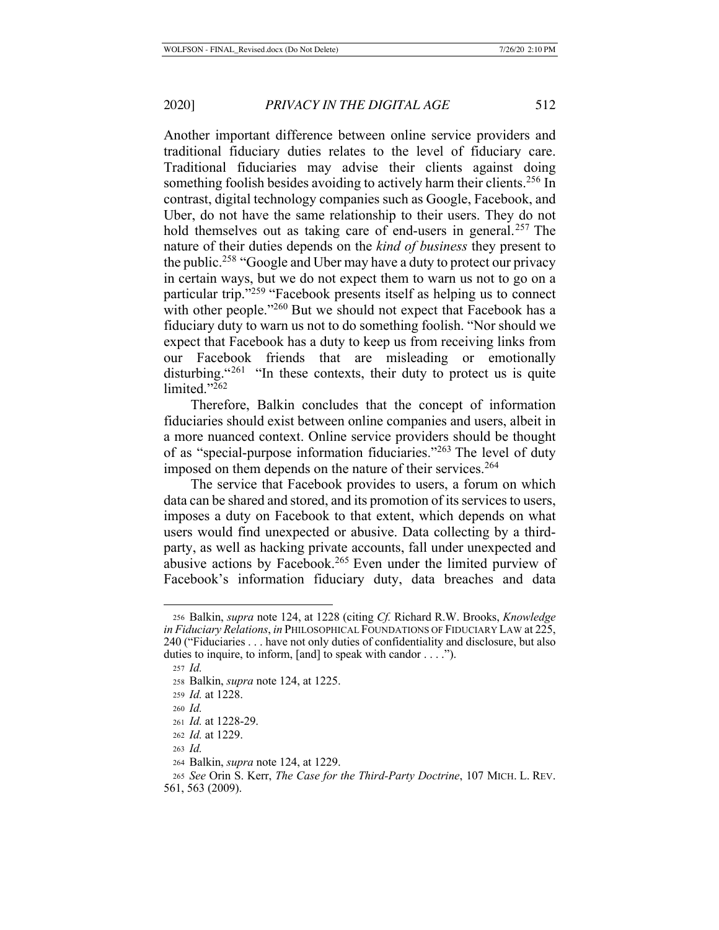Another important difference between online service providers and traditional fiduciary duties relates to the level of fiduciary care. Traditional fiduciaries may advise their clients against doing something foolish besides avoiding to actively harm their clients.<sup>256</sup> In contrast, digital technology companies such as Google, Facebook, and Uber, do not have the same relationship to their users. They do not hold themselves out as taking care of end-users in general.<sup>257</sup> The nature of their duties depends on the *kind of business* they present to the public.<sup>258</sup> "Google and Uber may have a duty to protect our privacy in certain ways, but we do not expect them to warn us not to go on a particular trip."259 "Facebook presents itself as helping us to connect with other people."<sup>260</sup> But we should not expect that Facebook has a fiduciary duty to warn us not to do something foolish. "Nor should we expect that Facebook has a duty to keep us from receiving links from our Facebook friends that are misleading or emotionally disturbing.  $261$  "In these contexts, their duty to protect us is quite limited."262

Therefore, Balkin concludes that the concept of information fiduciaries should exist between online companies and users, albeit in a more nuanced context. Online service providers should be thought of as "special-purpose information fiduciaries."263 The level of duty imposed on them depends on the nature of their services.<sup>264</sup>

The service that Facebook provides to users, a forum on which data can be shared and stored, and its promotion of its services to users, imposes a duty on Facebook to that extent, which depends on what users would find unexpected or abusive. Data collecting by a thirdparty, as well as hacking private accounts, fall under unexpected and abusive actions by Facebook.265 Even under the limited purview of Facebook's information fiduciary duty, data breaches and data

<sup>256</sup> Balkin, *supra* note 124, at 1228 (citing *Cf.* Richard R.W. Brooks, *Knowledge in Fiduciary Relations*, *in* PHILOSOPHICAL FOUNDATIONS OF FIDUCIARY LAW at 225, 240 ("Fiduciaries . . . have not only duties of confidentiality and disclosure, but also duties to inquire, to inform, [and] to speak with candor . . . .").

<sup>257</sup> *Id.*

<sup>258</sup> Balkin, *supra* note 124, at 1225.

<sup>259</sup> *Id.* at 1228.

<sup>260</sup> *Id.*

<sup>261</sup> *Id.* at 1228-29.

<sup>262</sup> *Id.* at 1229.

<sup>263</sup> *Id.*

<sup>264</sup> Balkin, *supra* note 124, at 1229.

<sup>265</sup> *See* Orin S. Kerr, *The Case for the Third-Party Doctrine*, 107 MICH. L. REV. 561, 563 (2009).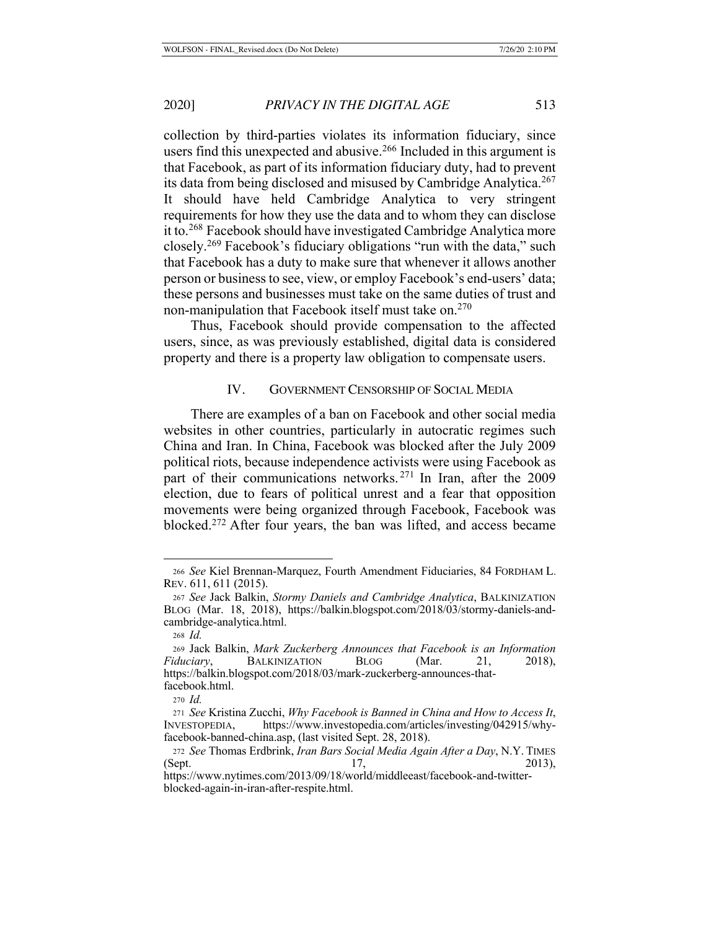collection by third-parties violates its information fiduciary, since users find this unexpected and abusive.<sup>266</sup> Included in this argument is that Facebook, as part of its information fiduciary duty, had to prevent its data from being disclosed and misused by Cambridge Analytica.<sup>267</sup> It should have held Cambridge Analytica to very stringent requirements for how they use the data and to whom they can disclose it to.268 Facebook should have investigated Cambridge Analytica more closely.269 Facebook's fiduciary obligations "run with the data," such that Facebook has a duty to make sure that whenever it allows another person or business to see, view, or employ Facebook's end-users' data; these persons and businesses must take on the same duties of trust and non-manipulation that Facebook itself must take on.<sup>270</sup>

Thus, Facebook should provide compensation to the affected users, since, as was previously established, digital data is considered property and there is a property law obligation to compensate users.

## IV. GOVERNMENT CENSORSHIP OF SOCIAL MEDIA

There are examples of a ban on Facebook and other social media websites in other countries, particularly in autocratic regimes such China and Iran. In China, Facebook was blocked after the July 2009 political riots, because independence activists were using Facebook as part of their communications networks.<sup>271</sup> In Iran, after the 2009 election, due to fears of political unrest and a fear that opposition movements were being organized through Facebook, Facebook was blocked.272 After four years, the ban was lifted, and access became

<sup>266</sup> *See* Kiel Brennan-Marquez, Fourth Amendment Fiduciaries, 84 FORDHAM L. REV. 611, 611 (2015).

<sup>267</sup> *See* Jack Balkin, *Stormy Daniels and Cambridge Analytica*, BALKINIZATION BLOG (Mar. 18, 2018), https://balkin.blogspot.com/2018/03/stormy-daniels-andcambridge-analytica.html.

<sup>268</sup> *Id.*

<sup>269</sup> Jack Balkin, *Mark Zuckerberg Announces that Facebook is an Information Fiduciary*, BALKINIZATION BLOG (Mar. 21, 2018), https://balkin.blogspot.com/2018/03/mark-zuckerberg-announces-thatfacebook.html.

<sup>270</sup> *Id.*

<sup>271</sup> *See* Kristina Zucchi, *Why Facebook is Banned in China and How to Access It*, INVESTOPEDIA, https://www.investopedia.com/articles/investing/042915/whyfacebook-banned-china.asp, (last visited Sept. 28, 2018).

<sup>272</sup> *See* Thomas Erdbrink, *Iran Bars Social Media Again After a Day*, N.Y. TIMES (Sept. 2013),

https://www.nytimes.com/2013/09/18/world/middleeast/facebook-and-twitterblocked-again-in-iran-after-respite.html.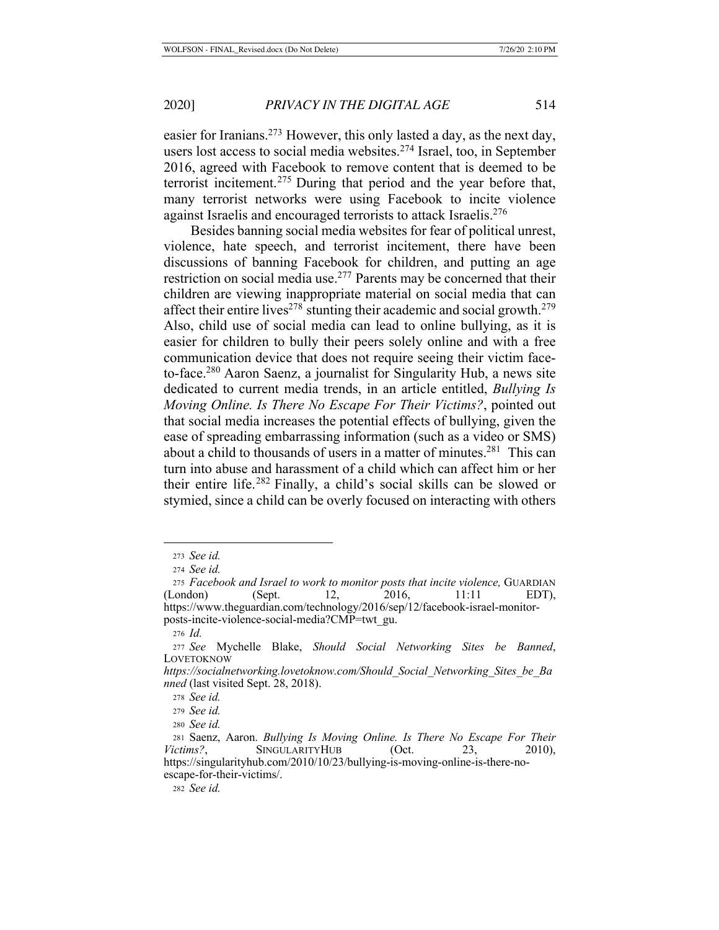easier for Iranians.273 However, this only lasted a day, as the next day, users lost access to social media websites.274 Israel, too, in September 2016, agreed with Facebook to remove content that is deemed to be terrorist incitement.275 During that period and the year before that, many terrorist networks were using Facebook to incite violence against Israelis and encouraged terrorists to attack Israelis.<sup>276</sup>

Besides banning social media websites for fear of political unrest, violence, hate speech, and terrorist incitement, there have been discussions of banning Facebook for children, and putting an age restriction on social media use.277 Parents may be concerned that their children are viewing inappropriate material on social media that can affect their entire lives<sup>278</sup> stunting their academic and social growth.<sup>279</sup> Also, child use of social media can lead to online bullying, as it is easier for children to bully their peers solely online and with a free communication device that does not require seeing their victim faceto-face.280 Aaron Saenz, a journalist for Singularity Hub, a news site dedicated to current media trends, in an article entitled, *Bullying Is Moving Online. Is There No Escape For Their Victims?*, pointed out that social media increases the potential effects of bullying, given the ease of spreading embarrassing information (such as a video or SMS) about a child to thousands of users in a matter of minutes.281 This can turn into abuse and harassment of a child which can affect him or her their entire life.282 Finally, a child's social skills can be slowed or stymied, since a child can be overly focused on interacting with others

<sup>282</sup> *See id.*

<sup>273</sup> *See id.*

<sup>274</sup> *See id.*

<sup>275</sup> *Facebook and Israel to work to monitor posts that incite violence,* GUARDIAN (London) (Sept. 12, 2016, 11:11 EDT), https://www.theguardian.com/technology/2016/sep/12/facebook-israel-monitorposts-incite-violence-social-media?CMP=twt\_gu.

<sup>276</sup> *Id.*

<sup>277</sup> *See* Mychelle Blake, *Should Social Networking Sites be Banned*, LOVETOKNOW

*https://socialnetworking.lovetoknow.com/Should\_Social\_Networking\_Sites\_be\_Ba nned* (last visited Sept. 28, 2018).

<sup>278</sup> *See id.*

<sup>279</sup> *See id.*

<sup>280</sup> *See id.*

<sup>281</sup> Saenz, Aaron. *Bullying Is Moving Online. Is There No Escape For Their Victims?*, SINGULARITYHUB (Oct. 23, 2010), https://singularityhub.com/2010/10/23/bullying-is-moving-online-is-there-noescape-for-their-victims/.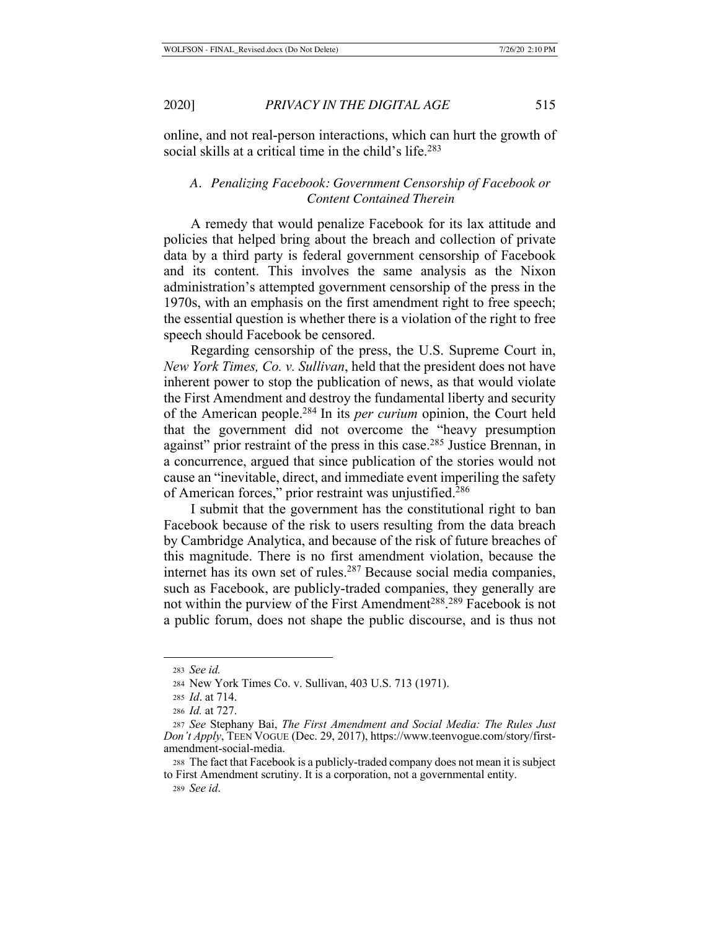online, and not real-person interactions, which can hurt the growth of social skills at a critical time in the child's life.<sup>283</sup>

## *A. Penalizing Facebook: Government Censorship of Facebook or Content Contained Therein*

A remedy that would penalize Facebook for its lax attitude and policies that helped bring about the breach and collection of private data by a third party is federal government censorship of Facebook and its content. This involves the same analysis as the Nixon administration's attempted government censorship of the press in the 1970s, with an emphasis on the first amendment right to free speech; the essential question is whether there is a violation of the right to free speech should Facebook be censored.

Regarding censorship of the press, the U.S. Supreme Court in, *New York Times, Co. v. Sullivan*, held that the president does not have inherent power to stop the publication of news, as that would violate the First Amendment and destroy the fundamental liberty and security of the American people.284 In its *per curium* opinion, the Court held that the government did not overcome the "heavy presumption against" prior restraint of the press in this case.<sup>285</sup> Justice Brennan, in a concurrence, argued that since publication of the stories would not cause an "inevitable, direct, and immediate event imperiling the safety of American forces," prior restraint was unjustified.286

I submit that the government has the constitutional right to ban Facebook because of the risk to users resulting from the data breach by Cambridge Analytica, and because of the risk of future breaches of this magnitude. There is no first amendment violation, because the internet has its own set of rules.<sup>287</sup> Because social media companies, such as Facebook, are publicly-traded companies, they generally are not within the purview of the First Amendment<sup>288</sup>.<sup>289</sup> Facebook is not a public forum, does not shape the public discourse, and is thus not

<sup>283</sup> *See id.*

<sup>284</sup> New York Times Co. v. Sullivan, 403 U.S. 713 (1971).

<sup>285</sup> *Id*. at 714.

<sup>286</sup> *Id.* at 727.

<sup>287</sup> *See* Stephany Bai, *The First Amendment and Social Media: The Rules Just Don't Apply*, TEEN VOGUE (Dec. 29, 2017), https://www.teenvogue.com/story/firstamendment-social-media.

<sup>288</sup> The fact that Facebook is a publicly-traded company does not mean it is subject to First Amendment scrutiny. It is a corporation, not a governmental entity.

<sup>289</sup> *See id*.